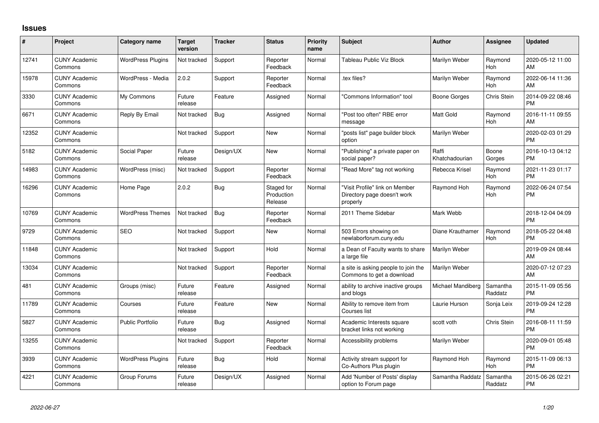## **Issues**

| #     | Project                         | <b>Category name</b>     | <b>Target</b><br>version | <b>Tracker</b> | <b>Status</b>                       | Priority<br>name | <b>Subject</b>                                                            | <b>Author</b>           | <b>Assignee</b>       | <b>Updated</b>                |
|-------|---------------------------------|--------------------------|--------------------------|----------------|-------------------------------------|------------------|---------------------------------------------------------------------------|-------------------------|-----------------------|-------------------------------|
| 12741 | <b>CUNY Academic</b><br>Commons | <b>WordPress Plugins</b> | Not tracked              | Support        | Reporter<br>Feedback                | Normal           | Tableau Public Viz Block                                                  | Marilyn Weber           | Raymond<br>Hoh        | 2020-05-12 11:00<br>AM        |
| 15978 | <b>CUNY Academic</b><br>Commons | WordPress - Media        | 2.0.2                    | Support        | Reporter<br>Feedback                | Normal           | tex files?                                                                | Marilyn Weber           | Raymond<br>Hoh        | 2022-06-14 11:36<br>AM        |
| 3330  | <b>CUNY Academic</b><br>Commons | My Commons               | Future<br>release        | Feature        | Assigned                            | Normal           | "Commons Information" tool                                                | Boone Gorges            | Chris Stein           | 2014-09-22 08:46<br><b>PM</b> |
| 6671  | <b>CUNY Academic</b><br>Commons | Reply By Email           | Not tracked              | Bug            | Assigned                            | Normal           | "Post too often" RBE error<br>message                                     | <b>Matt Gold</b>        | Raymond<br>Hoh        | 2016-11-11 09:55<br>AM        |
| 12352 | <b>CUNY Academic</b><br>Commons |                          | Not tracked              | Support        | <b>New</b>                          | Normal           | "posts list" page builder block<br>option                                 | Marilyn Weber           |                       | 2020-02-03 01:29<br><b>PM</b> |
| 5182  | <b>CUNY Academic</b><br>Commons | Social Paper             | Future<br>release        | Design/UX      | <b>New</b>                          | Normal           | "Publishing" a private paper on<br>social paper?                          | Raffi<br>Khatchadourian | Boone<br>Gorges       | 2016-10-13 04:12<br><b>PM</b> |
| 14983 | <b>CUNY Academic</b><br>Commons | WordPress (misc)         | Not tracked              | Support        | Reporter<br>Feedback                | Normal           | "Read More" tag not working                                               | Rebecca Krisel          | Raymond<br><b>Hoh</b> | 2021-11-23 01:17<br><b>PM</b> |
| 16296 | <b>CUNY Academic</b><br>Commons | Home Page                | 2.0.2                    | <b>Bug</b>     | Staged for<br>Production<br>Release | Normal           | "Visit Profile" link on Member<br>Directory page doesn't work<br>properly | Raymond Hoh             | Raymond<br>Hoh        | 2022-06-24 07:54<br><b>PM</b> |
| 10769 | <b>CUNY Academic</b><br>Commons | <b>WordPress Themes</b>  | Not tracked              | Bug            | Reporter<br>Feedback                | Normal           | 2011 Theme Sidebar                                                        | Mark Webb               |                       | 2018-12-04 04:09<br><b>PM</b> |
| 9729  | <b>CUNY Academic</b><br>Commons | SEO                      | Not tracked              | Support        | <b>New</b>                          | Normal           | 503 Errors showing on<br>newlaborforum.cuny.edu                           | Diane Krauthamer        | Raymond<br>Hoh        | 2018-05-22 04:48<br><b>PM</b> |
| 11848 | <b>CUNY Academic</b><br>Commons |                          | Not tracked              | Support        | Hold                                | Normal           | a Dean of Faculty wants to share<br>a large file                          | Marilyn Weber           |                       | 2019-09-24 08:44<br>AM        |
| 13034 | <b>CUNY Academic</b><br>Commons |                          | Not tracked              | Support        | Reporter<br>Feedback                | Normal           | a site is asking people to join the<br>Commons to get a download          | Marilyn Weber           |                       | 2020-07-12 07:23<br>AM        |
| 481   | <b>CUNY Academic</b><br>Commons | Groups (misc)            | Future<br>release        | Feature        | Assigned                            | Normal           | ability to archive inactive groups<br>and blogs                           | Michael Mandiberg       | Samantha<br>Raddatz   | 2015-11-09 05:56<br><b>PM</b> |
| 11789 | <b>CUNY Academic</b><br>Commons | Courses                  | Future<br>release        | Feature        | <b>New</b>                          | Normal           | Ability to remove item from<br>Courses list                               | Laurie Hurson           | Sonja Leix            | 2019-09-24 12:28<br><b>PM</b> |
| 5827  | <b>CUNY Academic</b><br>Commons | <b>Public Portfolio</b>  | Future<br>release        | Bug            | Assigned                            | Normal           | Academic Interests square<br>bracket links not working                    | scott voth              | Chris Stein           | 2016-08-11 11:59<br><b>PM</b> |
| 13255 | <b>CUNY Academic</b><br>Commons |                          | Not tracked              | Support        | Reporter<br>Feedback                | Normal           | Accessibility problems                                                    | Marilyn Weber           |                       | 2020-09-01 05:48<br><b>PM</b> |
| 3939  | <b>CUNY Academic</b><br>Commons | <b>WordPress Plugins</b> | Future<br>release        | Bug            | Hold                                | Normal           | Activity stream support for<br>Co-Authors Plus plugin                     | Raymond Hoh             | Raymond<br>Hoh        | 2015-11-09 06:13<br><b>PM</b> |
| 4221  | <b>CUNY Academic</b><br>Commons | Group Forums             | Future<br>release        | Design/UX      | Assigned                            | Normal           | Add 'Number of Posts' display<br>option to Forum page                     | Samantha Raddatz        | Samantha<br>Raddatz   | 2015-06-26 02:21<br><b>PM</b> |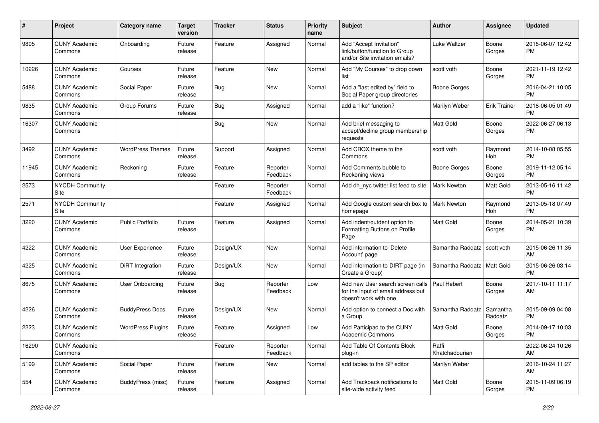| #     | Project                         | <b>Category name</b>     | Target<br>version | <b>Tracker</b> | <b>Status</b>        | <b>Priority</b><br>name | <b>Subject</b>                                                                                  | <b>Author</b>           | <b>Assignee</b>     | <b>Updated</b>                |
|-------|---------------------------------|--------------------------|-------------------|----------------|----------------------|-------------------------|-------------------------------------------------------------------------------------------------|-------------------------|---------------------|-------------------------------|
| 9895  | <b>CUNY Academic</b><br>Commons | Onboarding               | Future<br>release | Feature        | Assigned             | Normal                  | Add "Accept Invitation"<br>link/button/function to Group<br>and/or Site invitation emails?      | Luke Waltzer            | Boone<br>Gorges     | 2018-06-07 12:42<br><b>PM</b> |
| 10226 | <b>CUNY Academic</b><br>Commons | Courses                  | Future<br>release | Feature        | <b>New</b>           | Normal                  | Add "My Courses" to drop down<br>list                                                           | scott voth              | Boone<br>Gorges     | 2021-11-19 12:42<br>РM        |
| 5488  | <b>CUNY Academic</b><br>Commons | Social Paper             | Future<br>release | <b>Bug</b>     | New                  | Normal                  | Add a "last edited by" field to<br>Social Paper group directories                               | <b>Boone Gorges</b>     |                     | 2016-04-21 10:05<br><b>PM</b> |
| 9835  | <b>CUNY Academic</b><br>Commons | Group Forums             | Future<br>release | <b>Bug</b>     | Assigned             | Normal                  | add a "like" function?                                                                          | Marilyn Weber           | <b>Erik Trainer</b> | 2018-06-05 01:49<br><b>PM</b> |
| 16307 | <b>CUNY Academic</b><br>Commons |                          |                   | <b>Bug</b>     | New                  | Normal                  | Add brief messaging to<br>accept/decline group membership<br>requests                           | Matt Gold               | Boone<br>Gorges     | 2022-06-27 06:13<br><b>PM</b> |
| 3492  | <b>CUNY Academic</b><br>Commons | <b>WordPress Themes</b>  | Future<br>release | Support        | Assigned             | Normal                  | Add CBOX theme to the<br>Commons                                                                | scott voth              | Raymond<br>Hoh      | 2014-10-08 05:55<br><b>PM</b> |
| 11945 | <b>CUNY Academic</b><br>Commons | Reckoning                | Future<br>release | Feature        | Reporter<br>Feedback | Normal                  | Add Comments bubble to<br>Reckoning views                                                       | Boone Gorges            | Boone<br>Gorges     | 2019-11-12 05:14<br><b>PM</b> |
| 2573  | NYCDH Community<br>Site         |                          |                   | Feature        | Reporter<br>Feedback | Normal                  | Add dh_nyc twitter list feed to site                                                            | Mark Newton             | <b>Matt Gold</b>    | 2013-05-16 11:42<br><b>PM</b> |
| 2571  | <b>NYCDH Community</b><br>Site  |                          |                   | Feature        | Assigned             | Normal                  | Add Google custom search box to<br>homepage                                                     | <b>Mark Newton</b>      | Raymond<br>Hoh      | 2013-05-18 07:49<br><b>PM</b> |
| 3220  | <b>CUNY Academic</b><br>Commons | <b>Public Portfolio</b>  | Future<br>release | Feature        | Assigned             | Normal                  | Add indent/outdent option to<br>Formatting Buttons on Profile<br>Page                           | <b>Matt Gold</b>        | Boone<br>Gorges     | 2014-05-21 10:39<br><b>PM</b> |
| 4222  | <b>CUNY Academic</b><br>Commons | User Experience          | Future<br>release | Design/UX      | New                  | Normal                  | Add information to 'Delete<br>Account' page                                                     | Samantha Raddatz        | scott voth          | 2015-06-26 11:35<br>AM        |
| 4225  | <b>CUNY Academic</b><br>Commons | DiRT Integration         | Future<br>release | Design/UX      | New                  | Normal                  | Add information to DIRT page (in<br>Create a Group)                                             | Samantha Raddatz        | Matt Gold           | 2015-06-26 03:14<br><b>PM</b> |
| 8675  | <b>CUNY Academic</b><br>Commons | User Onboarding          | Future<br>release | <b>Bug</b>     | Reporter<br>Feedback | Low                     | Add new User search screen calls<br>for the input of email address but<br>doesn't work with one | Paul Hebert             | Boone<br>Gorges     | 2017-10-11 11:17<br>AM        |
| 4226  | <b>CUNY Academic</b><br>Commons | <b>BuddyPress Docs</b>   | Future<br>release | Design/UX      | New                  | Normal                  | Add option to connect a Doc with<br>a Group                                                     | Samantha Raddatz        | Samantha<br>Raddatz | 2015-09-09 04:08<br><b>PM</b> |
| 2223  | <b>CUNY Academic</b><br>Commons | <b>WordPress Plugins</b> | Future<br>release | Feature        | Assigned             | Low                     | Add Participad to the CUNY<br><b>Academic Commons</b>                                           | Matt Gold               | Boone<br>Gorges     | 2014-09-17 10:03<br><b>PM</b> |
| 16290 | <b>CUNY Academic</b><br>Commons |                          |                   | Feature        | Reporter<br>Feedback | Normal                  | Add Table Of Contents Block<br>plug-in                                                          | Raffi<br>Khatchadourian |                     | 2022-06-24 10:26<br>AM        |
| 5199  | <b>CUNY Academic</b><br>Commons | Social Paper             | Future<br>release | Feature        | New                  | Normal                  | add tables to the SP editor                                                                     | Marilyn Weber           |                     | 2016-10-24 11:27<br>AM        |
| 554   | <b>CUNY Academic</b><br>Commons | BuddyPress (misc)        | Future<br>release | Feature        | Assigned             | Normal                  | Add Trackback notifications to<br>site-wide activity feed                                       | Matt Gold               | Boone<br>Gorges     | 2015-11-09 06:19<br>PM        |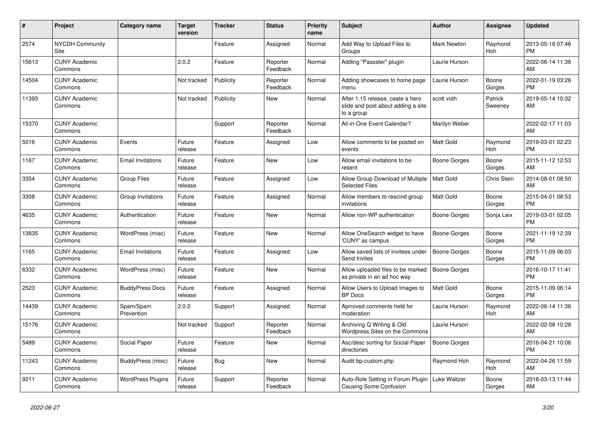| #     | Project                         | <b>Category name</b>     | <b>Target</b><br>version | Tracker   | <b>Status</b>        | <b>Priority</b><br>name | <b>Subject</b>                                                                       | Author              | <b>Assignee</b>       | <b>Updated</b>                |
|-------|---------------------------------|--------------------------|--------------------------|-----------|----------------------|-------------------------|--------------------------------------------------------------------------------------|---------------------|-----------------------|-------------------------------|
| 2574  | <b>NYCDH Community</b><br>Site  |                          |                          | Feature   | Assigned             | Normal                  | Add Way to Upload Files to<br>Groups                                                 | <b>Mark Newton</b>  | Raymond<br>Hoh        | 2013-05-18 07:46<br><b>PM</b> |
| 15613 | <b>CUNY Academic</b><br>Commons |                          | 2.0.2                    | Feature   | Reporter<br>Feedback | Normal                  | Adding "Passster" plugin                                                             | Laurie Hurson       |                       | 2022-06-14 11:36<br>AM        |
| 14504 | <b>CUNY Academic</b><br>Commons |                          | Not tracked              | Publicity | Reporter<br>Feedback | Normal                  | Adding showcases to home page<br>menu                                                | Laurie Hurson       | Boone<br>Gorges       | 2022-01-19 03:26<br><b>PM</b> |
| 11393 | <b>CUNY Academic</b><br>Commons |                          | Not tracked              | Publicity | <b>New</b>           | Normal                  | After 1.15 release, ceate a hero<br>slide and post about adding a site<br>to a group | scott voth          | Patrick<br>Sweeney    | 2019-05-14 10:32<br>AM        |
| 15370 | <b>CUNY Academic</b><br>Commons |                          |                          | Support   | Reporter<br>Feedback | Normal                  | All-in-One Event Calendar?                                                           | Marilyn Weber       |                       | 2022-02-17 11:03<br>AM        |
| 5016  | <b>CUNY Academic</b><br>Commons | Events                   | Future<br>release        | Feature   | Assigned             | Low                     | Allow comments to be posted on<br>events                                             | Matt Gold           | Raymond<br><b>Hoh</b> | 2019-03-01 02:23<br><b>PM</b> |
| 1167  | <b>CUNY Academic</b><br>Commons | <b>Email Invitations</b> | Future<br>release        | Feature   | <b>New</b>           | Low                     | Allow email invitations to be<br>resent                                              | Boone Gorges        | Boone<br>Gorges       | 2015-11-12 12:53<br>AM        |
| 3354  | <b>CUNY Academic</b><br>Commons | <b>Group Files</b>       | Future<br>release        | Feature   | Assigned             | Low                     | Allow Group Download of Multiple<br><b>Selected Files</b>                            | Matt Gold           | Chris Stein           | 2014-08-01 08:50<br>AM        |
| 3308  | <b>CUNY Academic</b><br>Commons | Group Invitations        | Future<br>release        | Feature   | Assigned             | Normal                  | Allow members to rescind group<br>invitations                                        | Matt Gold           | Boone<br>Gorges       | 2015-04-01 08:53<br><b>PM</b> |
| 4635  | <b>CUNY Academic</b><br>Commons | Authentication           | Future<br>release        | Feature   | <b>New</b>           | Normal                  | Allow non-WP authentication                                                          | <b>Boone Gorges</b> | Sonja Leix            | 2019-03-01 02:05<br><b>PM</b> |
| 13835 | <b>CUNY Academic</b><br>Commons | WordPress (misc)         | Future<br>release        | Feature   | New                  | Normal                  | Allow OneSearch widget to have<br>'CUNY' as campus                                   | Boone Gorges        | Boone<br>Gorges       | 2021-11-19 12:39<br><b>PM</b> |
| 1165  | <b>CUNY Academic</b><br>Commons | <b>Email Invitations</b> | Future<br>release        | Feature   | Assigned             | Low                     | Allow saved lists of invitees under<br>Send Invites                                  | <b>Boone Gorges</b> | Boone<br>Gorges       | 2015-11-09 06:03<br><b>PM</b> |
| 6332  | <b>CUNY Academic</b><br>Commons | WordPress (misc)         | Future<br>release        | Feature   | <b>New</b>           | Normal                  | Allow uploaded files to be marked<br>as private in an ad hoc way                     | <b>Boone Gorges</b> |                       | 2016-10-17 11:41<br><b>PM</b> |
| 2523  | <b>CUNY Academic</b><br>Commons | <b>BuddyPress Docs</b>   | Future<br>release        | Feature   | Assigned             | Normal                  | Allow Users to Upload Images to<br><b>BP</b> Docs                                    | Matt Gold           | Boone<br>Gorges       | 2015-11-09 06:14<br><b>PM</b> |
| 14439 | <b>CUNY Academic</b><br>Commons | Spam/Spam<br>Prevention  | 2.0.2                    | Support   | Assigned             | Normal                  | Aprroved comments held for<br>moderation                                             | Laurie Hurson       | Raymond<br>Hoh        | 2022-06-14 11:36<br>AM        |
| 15176 | <b>CUNY Academic</b><br>Commons |                          | Not tracked              | Support   | Reporter<br>Feedback | Normal                  | Archiving Q Writing & Old<br>Wordpress Sites on the Commons                          | Laurie Hurson       |                       | 2022-02-08 10:28<br>AM        |
| 5489  | <b>CUNY Academic</b><br>Commons | Social Paper             | Future<br>release        | Feature   | New                  | Normal                  | Asc/desc sorting for Social Paper<br>directories                                     | <b>Boone Gorges</b> |                       | 2016-04-21 10:06<br><b>PM</b> |
| 11243 | <b>CUNY Academic</b><br>Commons | BuddyPress (misc)        | Future<br>release        | Bug       | New                  | Normal                  | Audit bp-custom.php                                                                  | Raymond Hoh         | Raymond<br>Hoh        | 2022-04-26 11:59<br>AM        |
| 9211  | <b>CUNY Academic</b><br>Commons | <b>WordPress Plugins</b> | Future<br>release        | Support   | Reporter<br>Feedback | Normal                  | Auto-Role Setting in Forum Plugin<br><b>Causing Some Confusion</b>                   | Luke Waltzer        | Boone<br>Gorges       | 2018-03-13 11:44<br>AM        |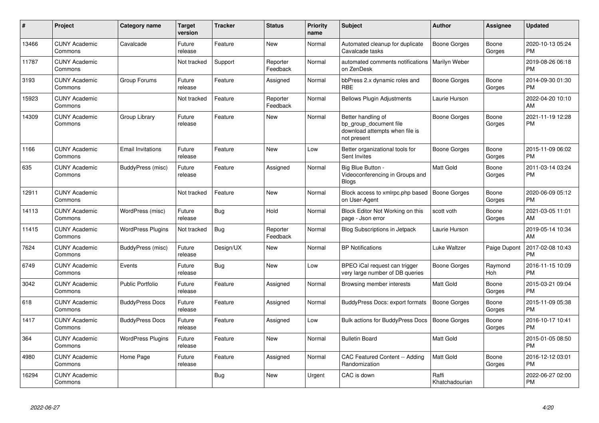| #     | Project                         | <b>Category name</b>     | Target<br>version | <b>Tracker</b> | <b>Status</b>        | <b>Priority</b><br>name | <b>Subject</b>                                                                                | <b>Author</b>           | <b>Assignee</b> | <b>Updated</b>                |
|-------|---------------------------------|--------------------------|-------------------|----------------|----------------------|-------------------------|-----------------------------------------------------------------------------------------------|-------------------------|-----------------|-------------------------------|
| 13466 | <b>CUNY Academic</b><br>Commons | Cavalcade                | Future<br>release | Feature        | <b>New</b>           | Normal                  | Automated cleanup for duplicate<br>Cavalcade tasks                                            | <b>Boone Gorges</b>     | Boone<br>Gorges | 2020-10-13 05:24<br><b>PM</b> |
| 11787 | <b>CUNY Academic</b><br>Commons |                          | Not tracked       | Support        | Reporter<br>Feedback | Normal                  | automated comments notifications<br>on ZenDesk                                                | Marilyn Weber           |                 | 2019-08-26 06:18<br><b>PM</b> |
| 3193  | <b>CUNY Academic</b><br>Commons | Group Forums             | Future<br>release | Feature        | Assigned             | Normal                  | bbPress 2.x dynamic roles and<br><b>RBE</b>                                                   | Boone Gorges            | Boone<br>Gorges | 2014-09-30 01:30<br><b>PM</b> |
| 15923 | <b>CUNY Academic</b><br>Commons |                          | Not tracked       | Feature        | Reporter<br>Feedback | Normal                  | <b>Bellows Plugin Adjustments</b>                                                             | Laurie Hurson           |                 | 2022-04-20 10:10<br>AM        |
| 14309 | <b>CUNY Academic</b><br>Commons | Group Library            | Future<br>release | Feature        | New                  | Normal                  | Better handling of<br>bp group document file<br>download attempts when file is<br>not present | <b>Boone Gorges</b>     | Boone<br>Gorges | 2021-11-19 12:28<br><b>PM</b> |
| 1166  | <b>CUNY Academic</b><br>Commons | <b>Email Invitations</b> | Future<br>release | Feature        | <b>New</b>           | Low                     | Better organizational tools for<br>Sent Invites                                               | Boone Gorges            | Boone<br>Gorges | 2015-11-09 06:02<br><b>PM</b> |
| 635   | <b>CUNY Academic</b><br>Commons | BuddyPress (misc)        | Future<br>release | Feature        | Assigned             | Normal                  | Big Blue Button -<br>Videoconferencing in Groups and<br><b>Blogs</b>                          | Matt Gold               | Boone<br>Gorges | 2011-03-14 03:24<br><b>PM</b> |
| 12911 | <b>CUNY Academic</b><br>Commons |                          | Not tracked       | Feature        | New                  | Normal                  | Block access to xmlrpc.php based<br>on User-Agent                                             | <b>Boone Gorges</b>     | Boone<br>Gorges | 2020-06-09 05:12<br><b>PM</b> |
| 14113 | <b>CUNY Academic</b><br>Commons | WordPress (misc)         | Future<br>release | <b>Bug</b>     | Hold                 | Normal                  | Block Editor Not Working on this<br>page - Json error                                         | scott voth              | Boone<br>Gorges | 2021-03-05 11:01<br>AM        |
| 11415 | <b>CUNY Academic</b><br>Commons | <b>WordPress Plugins</b> | Not tracked       | <b>Bug</b>     | Reporter<br>Feedback | Normal                  | <b>Blog Subscriptions in Jetpack</b>                                                          | Laurie Hurson           |                 | 2019-05-14 10:34<br>AM        |
| 7624  | <b>CUNY Academic</b><br>Commons | BuddyPress (misc)        | Future<br>release | Design/UX      | <b>New</b>           | Normal                  | <b>BP Notifications</b>                                                                       | Luke Waltzer            | Paige Dupont    | 2017-02-08 10:43<br><b>PM</b> |
| 6749  | <b>CUNY Academic</b><br>Commons | Events                   | Future<br>release | <b>Bug</b>     | New                  | Low                     | BPEO iCal request can trigger<br>very large number of DB queries                              | Boone Gorges            | Raymond<br>Hoh  | 2016-11-15 10:09<br><b>PM</b> |
| 3042  | <b>CUNY Academic</b><br>Commons | <b>Public Portfolio</b>  | Future<br>release | Feature        | Assigned             | Normal                  | Browsing member interests                                                                     | <b>Matt Gold</b>        | Boone<br>Gorges | 2015-03-21 09:04<br><b>PM</b> |
| 618   | <b>CUNY Academic</b><br>Commons | <b>BuddyPress Docs</b>   | Future<br>release | Feature        | Assigned             | Normal                  | BuddyPress Docs: export formats                                                               | <b>Boone Gorges</b>     | Boone<br>Gorges | 2015-11-09 05:38<br><b>PM</b> |
| 1417  | <b>CUNY Academic</b><br>Commons | <b>BuddyPress Docs</b>   | Future<br>release | Feature        | Assigned             | Low                     | Bulk actions for BuddyPress Docs                                                              | <b>Boone Gorges</b>     | Boone<br>Gorges | 2016-10-17 10:41<br><b>PM</b> |
| 364   | <b>CUNY Academic</b><br>Commons | <b>WordPress Plugins</b> | Future<br>release | Feature        | <b>New</b>           | Normal                  | <b>Bulletin Board</b>                                                                         | Matt Gold               |                 | 2015-01-05 08:50<br><b>PM</b> |
| 4980  | <b>CUNY Academic</b><br>Commons | Home Page                | Future<br>release | Feature        | Assigned             | Normal                  | <b>CAC Featured Content -- Adding</b><br>Randomization                                        | Matt Gold               | Boone<br>Gorges | 2016-12-12 03:01<br><b>PM</b> |
| 16294 | <b>CUNY Academic</b><br>Commons |                          |                   | <b>Bug</b>     | <b>New</b>           | Urgent                  | CAC is down                                                                                   | Raffi<br>Khatchadourian |                 | 2022-06-27 02:00<br><b>PM</b> |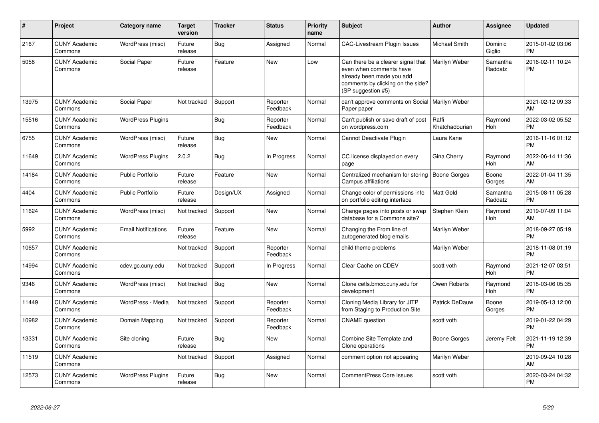| $\#$  | <b>Project</b>                  | <b>Category name</b>       | <b>Target</b><br>version | <b>Tracker</b> | <b>Status</b>        | Priority<br>name | <b>Subject</b>                                                                                                                                        | <b>Author</b>           | Assignee              | <b>Updated</b>                |
|-------|---------------------------------|----------------------------|--------------------------|----------------|----------------------|------------------|-------------------------------------------------------------------------------------------------------------------------------------------------------|-------------------------|-----------------------|-------------------------------|
| 2167  | <b>CUNY Academic</b><br>Commons | WordPress (misc)           | Future<br>release        | Bug            | Assigned             | Normal           | <b>CAC-Livestream Plugin Issues</b>                                                                                                                   | Michael Smith           | Dominic<br>Giglio     | 2015-01-02 03:06<br><b>PM</b> |
| 5058  | <b>CUNY Academic</b><br>Commons | Social Paper               | Future<br>release        | Feature        | <b>New</b>           | Low              | Can there be a clearer signal that<br>even when comments have<br>already been made you add<br>comments by clicking on the side?<br>(SP suggestion #5) | Marilyn Weber           | Samantha<br>Raddatz   | 2016-02-11 10:24<br><b>PM</b> |
| 13975 | <b>CUNY Academic</b><br>Commons | Social Paper               | Not tracked              | Support        | Reporter<br>Feedback | Normal           | can't approve comments on Social<br>Paper paper                                                                                                       | Marilyn Weber           |                       | 2021-02-12 09:33<br>AM        |
| 15516 | <b>CUNY Academic</b><br>Commons | <b>WordPress Plugins</b>   |                          | <b>Bug</b>     | Reporter<br>Feedback | Normal           | Can't publish or save draft of post<br>on wordpress.com                                                                                               | Raffi<br>Khatchadourian | Raymond<br>Hoh        | 2022-03-02 05:52<br><b>PM</b> |
| 6755  | <b>CUNY Academic</b><br>Commons | WordPress (misc)           | Future<br>release        | Bug            | <b>New</b>           | Normal           | Cannot Deactivate Plugin                                                                                                                              | Laura Kane              |                       | 2016-11-16 01:12<br><b>PM</b> |
| 11649 | <b>CUNY Academic</b><br>Commons | <b>WordPress Plugins</b>   | 2.0.2                    | <b>Bug</b>     | In Progress          | Normal           | CC license displayed on every<br>page                                                                                                                 | Gina Cherry             | Raymond<br><b>Hoh</b> | 2022-06-14 11:36<br>AM        |
| 14184 | <b>CUNY Academic</b><br>Commons | <b>Public Portfolio</b>    | Future<br>release        | Feature        | New                  | Normal           | Centralized mechanism for storing<br>Campus affiliations                                                                                              | <b>Boone Gorges</b>     | Boone<br>Gorges       | 2022-01-04 11:35<br>AM        |
| 4404  | <b>CUNY Academic</b><br>Commons | Public Portfolio           | Future<br>release        | Design/UX      | Assigned             | Normal           | Change color of permissions info<br>on portfolio editing interface                                                                                    | Matt Gold               | Samantha<br>Raddatz   | 2015-08-11 05:28<br><b>PM</b> |
| 11624 | <b>CUNY Academic</b><br>Commons | WordPress (misc)           | Not tracked              | Support        | New                  | Normal           | Change pages into posts or swap<br>database for a Commons site?                                                                                       | Stephen Klein           | Raymond<br>Hoh        | 2019-07-09 11:04<br>AM        |
| 5992  | <b>CUNY Academic</b><br>Commons | <b>Email Notifications</b> | Future<br>release        | Feature        | <b>New</b>           | Normal           | Changing the From line of<br>autogenerated blog emails                                                                                                | Marilyn Weber           |                       | 2018-09-27 05:19<br><b>PM</b> |
| 10657 | <b>CUNY Academic</b><br>Commons |                            | Not tracked              | Support        | Reporter<br>Feedback | Normal           | child theme problems                                                                                                                                  | Marilyn Weber           |                       | 2018-11-08 01:19<br><b>PM</b> |
| 14994 | <b>CUNY Academic</b><br>Commons | cdev.gc.cuny.edu           | Not tracked              | Support        | In Progress          | Normal           | Clear Cache on CDEV                                                                                                                                   | scott voth              | Raymond<br>Hoh        | 2021-12-07 03:51<br><b>PM</b> |
| 9346  | <b>CUNY Academic</b><br>Commons | WordPress (misc)           | Not tracked              | <b>Bug</b>     | <b>New</b>           | Normal           | Clone cetls.bmcc.cuny.edu for<br>development                                                                                                          | Owen Roberts            | Raymond<br>Hoh        | 2018-03-06 05:35<br><b>PM</b> |
| 11449 | <b>CUNY Academic</b><br>Commons | WordPress - Media          | Not tracked              | Support        | Reporter<br>Feedback | Normal           | Cloning Media Library for JITP<br>from Staging to Production Site                                                                                     | <b>Patrick DeDauw</b>   | Boone<br>Gorges       | 2019-05-13 12:00<br><b>PM</b> |
| 10982 | <b>CUNY Academic</b><br>Commons | Domain Mapping             | Not tracked              | Support        | Reporter<br>Feedback | Normal           | <b>CNAME</b> question                                                                                                                                 | scott voth              |                       | 2019-01-22 04:29<br><b>PM</b> |
| 13331 | <b>CUNY Academic</b><br>Commons | Site cloning               | Future<br>release        | <b>Bug</b>     | <b>New</b>           | Normal           | Combine Site Template and<br>Clone operations                                                                                                         | Boone Gorges            | Jeremy Felt           | 2021-11-19 12:39<br><b>PM</b> |
| 11519 | <b>CUNY Academic</b><br>Commons |                            | Not tracked              | Support        | Assigned             | Normal           | comment option not appearing                                                                                                                          | Marilyn Weber           |                       | 2019-09-24 10:28<br>AM        |
| 12573 | <b>CUNY Academic</b><br>Commons | <b>WordPress Plugins</b>   | Future<br>release        | Bug            | <b>New</b>           | Normal           | <b>CommentPress Core Issues</b>                                                                                                                       | scott voth              |                       | 2020-03-24 04:32<br><b>PM</b> |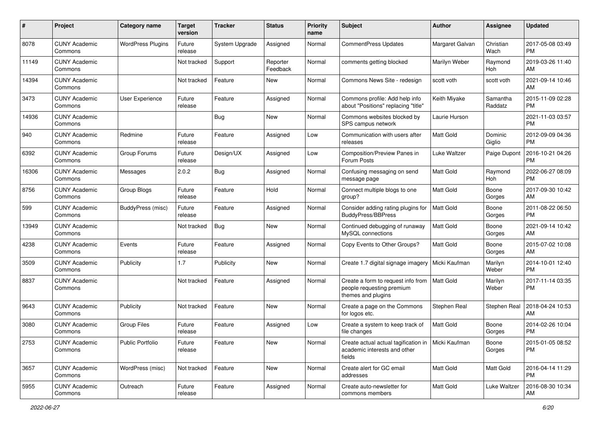| #     | Project                         | <b>Category name</b>     | <b>Target</b><br>version | <b>Tracker</b> | <b>Status</b>        | <b>Priority</b><br>name | <b>Subject</b>                                                                                 | <b>Author</b>    | <b>Assignee</b>       | <b>Updated</b>                |
|-------|---------------------------------|--------------------------|--------------------------|----------------|----------------------|-------------------------|------------------------------------------------------------------------------------------------|------------------|-----------------------|-------------------------------|
| 8078  | <b>CUNY Academic</b><br>Commons | <b>WordPress Plugins</b> | Future<br>release        | System Upgrade | Assigned             | Normal                  | <b>CommentPress Updates</b>                                                                    | Margaret Galvan  | Christian<br>Wach     | 2017-05-08 03:49<br><b>PM</b> |
| 11149 | <b>CUNY Academic</b><br>Commons |                          | Not tracked              | Support        | Reporter<br>Feedback | Normal                  | comments getting blocked                                                                       | Marilyn Weber    | Raymond<br><b>Hoh</b> | 2019-03-26 11:40<br>AM        |
| 14394 | <b>CUNY Academic</b><br>Commons |                          | Not tracked              | Feature        | New                  | Normal                  | Commons News Site - redesign                                                                   | scott voth       | scott voth            | 2021-09-14 10:46<br>AM        |
| 3473  | <b>CUNY Academic</b><br>Commons | User Experience          | Future<br>release        | Feature        | Assigned             | Normal                  | Commons profile: Add help info<br>about "Positions" replacing "title"                          | Keith Miyake     | Samantha<br>Raddatz   | 2015-11-09 02:28<br><b>PM</b> |
| 14936 | <b>CUNY Academic</b><br>Commons |                          |                          | <b>Bug</b>     | <b>New</b>           | Normal                  | Commons websites blocked by<br>SPS campus network                                              | Laurie Hurson    |                       | 2021-11-03 03:57<br><b>PM</b> |
| 940   | <b>CUNY Academic</b><br>Commons | Redmine                  | Future<br>release        | Feature        | Assigned             | Low                     | Communication with users after<br>releases                                                     | <b>Matt Gold</b> | Dominic<br>Giglio     | 2012-09-09 04:36<br><b>PM</b> |
| 6392  | <b>CUNY Academic</b><br>Commons | Group Forums             | Future<br>release        | Design/UX      | Assigned             | Low                     | Composition/Preview Panes in<br>Forum Posts                                                    | Luke Waltzer     | Paige Dupont          | 2016-10-21 04:26<br><b>PM</b> |
| 16306 | <b>CUNY Academic</b><br>Commons | Messages                 | 2.0.2                    | <b>Bug</b>     | Assigned             | Normal                  | Confusing messaging on send<br>message page                                                    | <b>Matt Gold</b> | Raymond<br>Hoh        | 2022-06-27 08:09<br><b>PM</b> |
| 8756  | <b>CUNY Academic</b><br>Commons | Group Blogs              | Future<br>release        | Feature        | Hold                 | Normal                  | Connect multiple blogs to one<br>group?                                                        | Matt Gold        | Boone<br>Gorges       | 2017-09-30 10:42<br>AM        |
| 599   | <b>CUNY Academic</b><br>Commons | BuddyPress (misc)        | Future<br>release        | Feature        | Assigned             | Normal                  | Consider adding rating plugins for<br><b>BuddyPress/BBPress</b>                                | <b>Matt Gold</b> | Boone<br>Gorges       | 2011-08-22 06:50<br><b>PM</b> |
| 13949 | <b>CUNY Academic</b><br>Commons |                          | Not tracked              | Bug            | New                  | Normal                  | Continued debugging of runaway<br>MySQL connections                                            | Matt Gold        | Boone<br>Gorges       | 2021-09-14 10:42<br>AM        |
| 4238  | <b>CUNY Academic</b><br>Commons | Events                   | Future<br>release        | Feature        | Assigned             | Normal                  | Copy Events to Other Groups?                                                                   | <b>Matt Gold</b> | Boone<br>Gorges       | 2015-07-02 10:08<br>AM        |
| 3509  | <b>CUNY Academic</b><br>Commons | Publicity                | 1.7                      | Publicity      | New                  | Normal                  | Create 1.7 digital signage imagery                                                             | Micki Kaufman    | Marilyn<br>Weber      | 2014-10-01 12:40<br><b>PM</b> |
| 8837  | <b>CUNY Academic</b><br>Commons |                          | Not tracked              | Feature        | Assigned             | Normal                  | Create a form to request info from<br>people requesting premium<br>themes and plugins          | <b>Matt Gold</b> | Marilyn<br>Weber      | 2017-11-14 03:35<br><b>PM</b> |
| 9643  | <b>CUNY Academic</b><br>Commons | Publicity                | Not tracked              | Feature        | New                  | Normal                  | Create a page on the Commons<br>for logos etc.                                                 | Stephen Real     | Stephen Real          | 2018-04-24 10:53<br>AM        |
| 3080  | <b>CUNY Academic</b><br>Commons | <b>Group Files</b>       | Future<br>release        | Feature        | Assigned             | Low                     | Create a system to keep track of<br>file changes                                               | Matt Gold        | Boone<br>Gorges       | 2014-02-26 10:04<br><b>PM</b> |
| 2753  | <b>CUNY Academic</b><br>Commons | Public Portfolio         | Future<br>release        | Feature        | New                  | Normal                  | Create actual actual tagification in   Micki Kaufman<br>academic interests and other<br>fields |                  | Boone<br>Gorges       | 2015-01-05 08:52<br>PM        |
| 3657  | <b>CUNY Academic</b><br>Commons | WordPress (misc)         | Not tracked              | Feature        | New                  | Normal                  | Create alert for GC email<br>addresses                                                         | Matt Gold        | Matt Gold             | 2016-04-14 11:29<br><b>PM</b> |
| 5955  | <b>CUNY Academic</b><br>Commons | Outreach                 | Future<br>release        | Feature        | Assigned             | Normal                  | Create auto-newsletter for<br>commons members                                                  | Matt Gold        | Luke Waltzer          | 2016-08-30 10:34<br>AM        |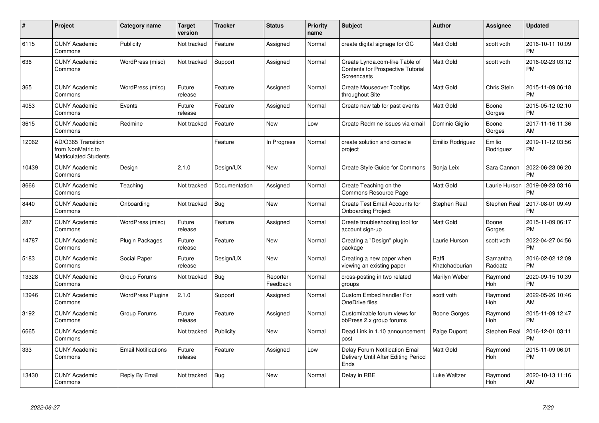| #     | <b>Project</b>                                                   | Category name              | <b>Target</b><br>version | <b>Tracker</b> | <b>Status</b>        | <b>Priority</b><br>name | <b>Subject</b>                                                                            | <b>Author</b>           | Assignee              | <b>Updated</b>                |
|-------|------------------------------------------------------------------|----------------------------|--------------------------|----------------|----------------------|-------------------------|-------------------------------------------------------------------------------------------|-------------------------|-----------------------|-------------------------------|
| 6115  | <b>CUNY Academic</b><br>Commons                                  | Publicity                  | Not tracked              | Feature        | Assigned             | Normal                  | create digital signage for GC                                                             | Matt Gold               | scott voth            | 2016-10-11 10:09<br><b>PM</b> |
| 636   | <b>CUNY Academic</b><br>Commons                                  | WordPress (misc)           | Not tracked              | Support        | Assigned             | Normal                  | Create Lynda.com-like Table of<br><b>Contents for Prospective Tutorial</b><br>Screencasts | Matt Gold               | scott voth            | 2016-02-23 03:12<br><b>PM</b> |
| 365   | <b>CUNY Academic</b><br>Commons                                  | WordPress (misc)           | Future<br>release        | Feature        | Assigned             | Normal                  | <b>Create Mouseover Tooltips</b><br>throughout Site                                       | Matt Gold               | Chris Stein           | 2015-11-09 06:18<br><b>PM</b> |
| 4053  | <b>CUNY Academic</b><br>Commons                                  | Events                     | Future<br>release        | Feature        | Assigned             | Normal                  | Create new tab for past events                                                            | Matt Gold               | Boone<br>Gorges       | 2015-05-12 02:10<br>РM        |
| 3615  | <b>CUNY Academic</b><br>Commons                                  | Redmine                    | Not tracked              | Feature        | New                  | Low                     | Create Redmine issues via email                                                           | Dominic Giglio          | Boone<br>Gorges       | 2017-11-16 11:36<br>AM        |
| 12062 | AD/O365 Transition<br>from NonMatric to<br>Matriculated Students |                            |                          | Feature        | In Progress          | Normal                  | create solution and console<br>project                                                    | Emilio Rodriguez        | Emilio<br>Rodriguez   | 2019-11-12 03:56<br><b>PM</b> |
| 10439 | <b>CUNY Academic</b><br>Commons                                  | Design                     | 2.1.0                    | Design/UX      | <b>New</b>           | Normal                  | <b>Create Style Guide for Commons</b>                                                     | Sonja Leix              | Sara Cannon           | 2022-06-23 06:20<br>РM        |
| 8666  | <b>CUNY Academic</b><br>Commons                                  | Teaching                   | Not tracked              | Documentation  | Assigned             | Normal                  | Create Teaching on the<br>Commons Resource Page                                           | Matt Gold               | Laurie Hurson         | 2019-09-23 03:16<br>РM        |
| 8440  | <b>CUNY Academic</b><br>Commons                                  | Onboarding                 | Not tracked              | <b>Bug</b>     | <b>New</b>           | Normal                  | <b>Create Test Email Accounts for</b><br><b>Onboarding Project</b>                        | Stephen Real            | Stephen Real          | 2017-08-01 09:49<br>PМ        |
| 287   | <b>CUNY Academic</b><br>Commons                                  | WordPress (misc)           | Future<br>release        | Feature        | Assigned             | Normal                  | Create troubleshooting tool for<br>account sign-up                                        | Matt Gold               | Boone<br>Gorges       | 2015-11-09 06:17<br>PM        |
| 14787 | <b>CUNY Academic</b><br>Commons                                  | <b>Plugin Packages</b>     | Future<br>release        | Feature        | <b>New</b>           | Normal                  | Creating a "Design" plugin<br>package                                                     | Laurie Hurson           | scott voth            | 2022-04-27 04:56<br><b>PM</b> |
| 5183  | <b>CUNY Academic</b><br>Commons                                  | Social Paper               | Future<br>release        | Design/UX      | <b>New</b>           | Normal                  | Creating a new paper when<br>viewing an existing paper                                    | Raffi<br>Khatchadourian | Samantha<br>Raddatz   | 2016-02-02 12:09<br><b>PM</b> |
| 13328 | <b>CUNY Academic</b><br>Commons                                  | Group Forums               | Not tracked              | <b>Bug</b>     | Reporter<br>Feedback | Normal                  | cross-posting in two related<br>groups                                                    | Marilyn Weber           | Raymond<br>Hoh        | 2020-09-15 10:39<br><b>PM</b> |
| 13946 | <b>CUNY Academic</b><br>Commons                                  | <b>WordPress Plugins</b>   | 2.1.0                    | Support        | Assigned             | Normal                  | Custom Embed handler For<br>OneDrive files                                                | scott voth              | Raymond<br>Hoh        | 2022-05-26 10:46<br>AM        |
| 3192  | <b>CUNY Academic</b><br>Commons                                  | Group Forums               | Future<br>release        | Feature        | Assigned             | Normal                  | Customizable forum views for<br>bbPress 2.x group forums                                  | Boone Gorges            | Raymond<br><b>Hoh</b> | 2015-11-09 12:47<br><b>PM</b> |
| 6665  | <b>CUNY Academic</b><br>Commons                                  |                            | Not tracked              | Publicity      | <b>New</b>           | Normal                  | Dead Link in 1.10 announcement<br>post                                                    | Paige Dupont            | Stephen Real          | 2016-12-01 03:11<br>PM        |
| 333   | <b>CUNY Academic</b><br>Commons                                  | <b>Email Notifications</b> | Future<br>release        | Feature        | Assigned             | Low                     | Delay Forum Notification Email<br>Delivery Until After Editing Period<br>Ends             | Matt Gold               | Raymond<br>Hoh        | 2015-11-09 06:01<br>PM        |
| 13430 | <b>CUNY Academic</b><br>Commons                                  | Reply By Email             | Not tracked              | <b>Bug</b>     | <b>New</b>           | Normal                  | Delay in RBE                                                                              | Luke Waltzer            | Raymond<br>Hoh        | 2020-10-13 11:16<br>AM        |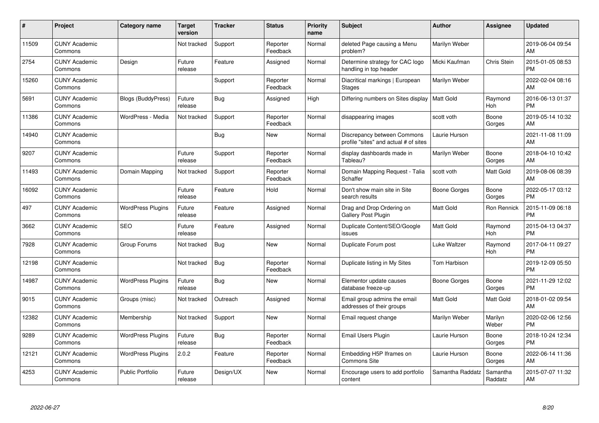| #     | Project                         | <b>Category name</b>     | Target<br>version | <b>Tracker</b> | <b>Status</b>        | <b>Priority</b><br>name | <b>Subject</b>                                                       | Author           | <b>Assignee</b>     | <b>Updated</b>                |
|-------|---------------------------------|--------------------------|-------------------|----------------|----------------------|-------------------------|----------------------------------------------------------------------|------------------|---------------------|-------------------------------|
| 11509 | <b>CUNY Academic</b><br>Commons |                          | Not tracked       | Support        | Reporter<br>Feedback | Normal                  | deleted Page causing a Menu<br>problem?                              | Marilyn Weber    |                     | 2019-06-04 09:54<br>AM        |
| 2754  | <b>CUNY Academic</b><br>Commons | Design                   | Future<br>release | Feature        | Assigned             | Normal                  | Determine strategy for CAC logo<br>handling in top header            | Micki Kaufman    | <b>Chris Stein</b>  | 2015-01-05 08:53<br><b>PM</b> |
| 15260 | <b>CUNY Academic</b><br>Commons |                          |                   | Support        | Reporter<br>Feedback | Normal                  | Diacritical markings   European<br><b>Stages</b>                     | Marilyn Weber    |                     | 2022-02-04 08:16<br>AM        |
| 5691  | <b>CUNY Academic</b><br>Commons | Blogs (BuddyPress)       | Future<br>release | <b>Bug</b>     | Assigned             | High                    | Differing numbers on Sites display   Matt Gold                       |                  | Raymond<br>Hoh      | 2016-06-13 01:37<br><b>PM</b> |
| 11386 | <b>CUNY Academic</b><br>Commons | WordPress - Media        | Not tracked       | Support        | Reporter<br>Feedback | Normal                  | disappearing images                                                  | scott voth       | Boone<br>Gorges     | 2019-05-14 10:32<br>AM        |
| 14940 | <b>CUNY Academic</b><br>Commons |                          |                   | Bug            | <b>New</b>           | Normal                  | Discrepancy between Commons<br>profile "sites" and actual # of sites | Laurie Hurson    |                     | 2021-11-08 11:09<br>AM        |
| 9207  | <b>CUNY Academic</b><br>Commons |                          | Future<br>release | Support        | Reporter<br>Feedback | Normal                  | display dashboards made in<br>Tableau?                               | Marilyn Weber    | Boone<br>Gorges     | 2018-04-10 10:42<br>AM        |
| 11493 | <b>CUNY Academic</b><br>Commons | Domain Mapping           | Not tracked       | Support        | Reporter<br>Feedback | Normal                  | Domain Mapping Request - Talia<br>Schaffer                           | scott voth       | Matt Gold           | 2019-08-06 08:39<br>AM        |
| 16092 | <b>CUNY Academic</b><br>Commons |                          | Future<br>release | Feature        | Hold                 | Normal                  | Don't show main site in Site<br>search results                       | Boone Gorges     | Boone<br>Gorges     | 2022-05-17 03:12<br><b>PM</b> |
| 497   | <b>CUNY Academic</b><br>Commons | <b>WordPress Plugins</b> | Future<br>release | Feature        | Assigned             | Normal                  | Drag and Drop Ordering on<br><b>Gallery Post Plugin</b>              | <b>Matt Gold</b> | <b>Ron Rennick</b>  | 2015-11-09 06:18<br><b>PM</b> |
| 3662  | <b>CUNY Academic</b><br>Commons | <b>SEO</b>               | Future<br>release | Feature        | Assigned             | Normal                  | Duplicate Content/SEO/Google<br>issues                               | Matt Gold        | Raymond<br>Hoh      | 2015-04-13 04:37<br><b>PM</b> |
| 7928  | <b>CUNY Academic</b><br>Commons | Group Forums             | Not tracked       | <b>Bug</b>     | <b>New</b>           | Normal                  | Duplicate Forum post                                                 | Luke Waltzer     | Raymond<br>Hoh      | 2017-04-11 09:27<br><b>PM</b> |
| 12198 | <b>CUNY Academic</b><br>Commons |                          | Not tracked       | Bug            | Reporter<br>Feedback | Normal                  | Duplicate listing in My Sites                                        | Tom Harbison     |                     | 2019-12-09 05:50<br><b>PM</b> |
| 14987 | <b>CUNY Academic</b><br>Commons | <b>WordPress Plugins</b> | Future<br>release | Bug            | <b>New</b>           | Normal                  | Elementor update causes<br>database freeze-up                        | Boone Gorges     | Boone<br>Gorges     | 2021-11-29 12:02<br><b>PM</b> |
| 9015  | <b>CUNY Academic</b><br>Commons | Groups (misc)            | Not tracked       | Outreach       | Assigned             | Normal                  | Email group admins the email<br>addresses of their groups            | Matt Gold        | Matt Gold           | 2018-01-02 09:54<br>AM        |
| 12382 | <b>CUNY Academic</b><br>Commons | Membership               | Not tracked       | Support        | <b>New</b>           | Normal                  | Email request change                                                 | Marilyn Weber    | Marilyn<br>Weber    | 2020-02-06 12:56<br><b>PM</b> |
| 9289  | <b>CUNY Academic</b><br>Commons | <b>WordPress Plugins</b> | Future<br>release | Bug            | Reporter<br>Feedback | Normal                  | Email Users Plugin                                                   | Laurie Hurson    | Boone<br>Gorges     | 2018-10-24 12:34<br><b>PM</b> |
| 12121 | <b>CUNY Academic</b><br>Commons | <b>WordPress Plugins</b> | 2.0.2             | Feature        | Reporter<br>Feedback | Normal                  | Embedding H5P Iframes on<br><b>Commons Site</b>                      | Laurie Hurson    | Boone<br>Gorges     | 2022-06-14 11:36<br>AM        |
| 4253  | <b>CUNY Academic</b><br>Commons | <b>Public Portfolio</b>  | Future<br>release | Design/UX      | <b>New</b>           | Normal                  | Encourage users to add portfolio<br>content                          | Samantha Raddatz | Samantha<br>Raddatz | 2015-07-07 11:32<br>AM        |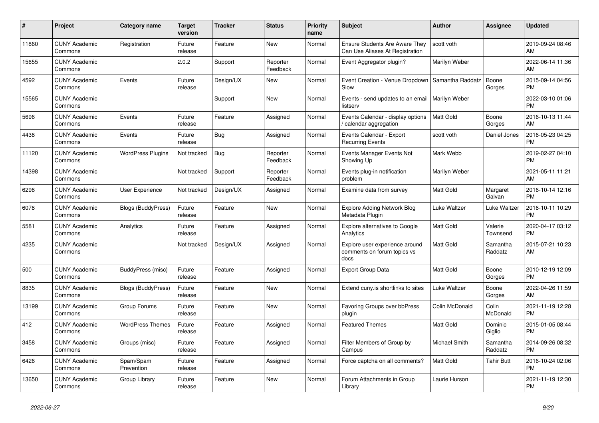| #     | <b>Project</b>                  | Category name            | Target<br>version | <b>Tracker</b> | <b>Status</b>        | <b>Priority</b><br>name | <b>Subject</b>                                                           | <b>Author</b>    | Assignee            | <b>Updated</b>                |
|-------|---------------------------------|--------------------------|-------------------|----------------|----------------------|-------------------------|--------------------------------------------------------------------------|------------------|---------------------|-------------------------------|
| 11860 | <b>CUNY Academic</b><br>Commons | Registration             | Future<br>release | Feature        | <b>New</b>           | Normal                  | <b>Ensure Students Are Aware They</b><br>Can Use Aliases At Registration | scott voth       |                     | 2019-09-24 08:46<br>AM        |
| 15655 | <b>CUNY Academic</b><br>Commons |                          | 2.0.2             | Support        | Reporter<br>Feedback | Normal                  | Event Aggregator plugin?                                                 | Marilyn Weber    |                     | 2022-06-14 11:36<br>AM        |
| 4592  | <b>CUNY Academic</b><br>Commons | Events                   | Future<br>release | Design/UX      | <b>New</b>           | Normal                  | Event Creation - Venue Dropdown   Samantha Raddatz<br>Slow               |                  | Boone<br>Gorges     | 2015-09-14 04:56<br><b>PM</b> |
| 15565 | <b>CUNY Academic</b><br>Commons |                          |                   | Support        | <b>New</b>           | Normal                  | Events - send updates to an email   Marilyn Weber<br>listserv            |                  |                     | 2022-03-10 01:06<br><b>PM</b> |
| 5696  | <b>CUNY Academic</b><br>Commons | Events                   | Future<br>release | Feature        | Assigned             | Normal                  | Events Calendar - display options<br>calendar aggregation                | <b>Matt Gold</b> | Boone<br>Gorges     | 2016-10-13 11:44<br>AM        |
| 4438  | <b>CUNY Academic</b><br>Commons | Events                   | Future<br>release | Bug            | Assigned             | Normal                  | Events Calendar - Export<br><b>Recurring Events</b>                      | scott voth       | Daniel Jones        | 2016-05-23 04:25<br><b>PM</b> |
| 11120 | <b>CUNY Academic</b><br>Commons | <b>WordPress Plugins</b> | Not tracked       | <b>Bug</b>     | Reporter<br>Feedback | Normal                  | Events Manager Events Not<br>Showing Up                                  | Mark Webb        |                     | 2019-02-27 04:10<br><b>PM</b> |
| 14398 | <b>CUNY Academic</b><br>Commons |                          | Not tracked       | Support        | Reporter<br>Feedback | Normal                  | Events plug-in notification<br>problem                                   | Marilyn Weber    |                     | 2021-05-11 11:21<br>AM        |
| 6298  | <b>CUNY Academic</b><br>Commons | <b>User Experience</b>   | Not tracked       | Design/UX      | Assigned             | Normal                  | Examine data from survey                                                 | Matt Gold        | Margaret<br>Galvan  | 2016-10-14 12:16<br><b>PM</b> |
| 6078  | <b>CUNY Academic</b><br>Commons | Blogs (BuddyPress)       | Future<br>release | Feature        | <b>New</b>           | Normal                  | <b>Explore Adding Network Blog</b><br>Metadata Plugin                    | Luke Waltzer     | Luke Waltzer        | 2016-10-11 10:29<br><b>PM</b> |
| 5581  | <b>CUNY Academic</b><br>Commons | Analytics                | Future<br>release | Feature        | Assigned             | Normal                  | <b>Explore alternatives to Google</b><br>Analytics                       | <b>Matt Gold</b> | Valerie<br>Townsend | 2020-04-17 03:12<br><b>PM</b> |
| 4235  | <b>CUNY Academic</b><br>Commons |                          | Not tracked       | Design/UX      | Assigned             | Normal                  | Explore user experience around<br>comments on forum topics vs<br>docs    | Matt Gold        | Samantha<br>Raddatz | 2015-07-21 10:23<br>AM        |
| 500   | <b>CUNY Academic</b><br>Commons | BuddyPress (misc)        | Future<br>release | Feature        | Assigned             | Normal                  | <b>Export Group Data</b>                                                 | <b>Matt Gold</b> | Boone<br>Gorges     | 2010-12-19 12:09<br><b>PM</b> |
| 8835  | <b>CUNY Academic</b><br>Commons | Blogs (BuddyPress)       | Future<br>release | Feature        | New                  | Normal                  | Extend cuny is shortlinks to sites                                       | Luke Waltzer     | Boone<br>Gorges     | 2022-04-26 11:59<br>AM        |
| 13199 | <b>CUNY Academic</b><br>Commons | Group Forums             | Future<br>release | Feature        | <b>New</b>           | Normal                  | Favoring Groups over bbPress<br>plugin                                   | Colin McDonald   | Colin<br>McDonald   | 2021-11-19 12:28<br><b>PM</b> |
| 412   | <b>CUNY Academic</b><br>Commons | <b>WordPress Themes</b>  | Future<br>release | Feature        | Assigned             | Normal                  | <b>Featured Themes</b>                                                   | <b>Matt Gold</b> | Dominic<br>Giglio   | 2015-01-05 08:44<br><b>PM</b> |
| 3458  | <b>CUNY Academic</b><br>Commons | Groups (misc)            | Future<br>release | Feature        | Assigned             | Normal                  | Filter Members of Group by<br>Campus                                     | Michael Smith    | Samantha<br>Raddatz | 2014-09-26 08:32<br><b>PM</b> |
| 6426  | <b>CUNY Academic</b><br>Commons | Spam/Spam<br>Prevention  | Future<br>release | Feature        | Assigned             | Normal                  | Force captcha on all comments?                                           | <b>Matt Gold</b> | Tahir Butt          | 2016-10-24 02:06<br><b>PM</b> |
| 13650 | <b>CUNY Academic</b><br>Commons | Group Library            | Future<br>release | Feature        | <b>New</b>           | Normal                  | Forum Attachments in Group<br>Library                                    | Laurie Hurson    |                     | 2021-11-19 12:30<br><b>PM</b> |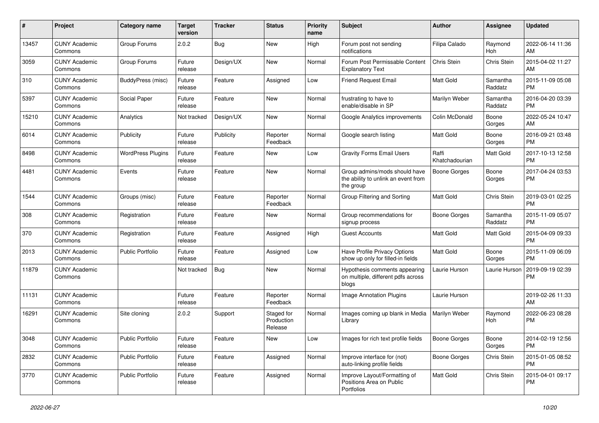| #     | Project                         | <b>Category name</b>     | <b>Target</b><br>version | <b>Tracker</b> | <b>Status</b>                       | <b>Priority</b><br>name | Subject                                                                           | Author                  | <b>Assignee</b>     | <b>Updated</b>                |
|-------|---------------------------------|--------------------------|--------------------------|----------------|-------------------------------------|-------------------------|-----------------------------------------------------------------------------------|-------------------------|---------------------|-------------------------------|
| 13457 | <b>CUNY Academic</b><br>Commons | Group Forums             | 2.0.2                    | Bug            | <b>New</b>                          | High                    | Forum post not sending<br>notifications                                           | Filipa Calado           | Raymond<br>Hoh      | 2022-06-14 11:36<br>AM        |
| 3059  | <b>CUNY Academic</b><br>Commons | Group Forums             | Future<br>release        | Design/UX      | New                                 | Normal                  | Forum Post Permissable Content<br><b>Explanatory Text</b>                         | Chris Stein             | Chris Stein         | 2015-04-02 11:27<br>AM        |
| 310   | <b>CUNY Academic</b><br>Commons | BuddyPress (misc)        | Future<br>release        | Feature        | Assigned                            | Low                     | <b>Friend Request Email</b>                                                       | Matt Gold               | Samantha<br>Raddatz | 2015-11-09 05:08<br><b>PM</b> |
| 5397  | <b>CUNY Academic</b><br>Commons | Social Paper             | Future<br>release        | Feature        | <b>New</b>                          | Normal                  | frustrating to have to<br>enable/disable in SP                                    | Marilyn Weber           | Samantha<br>Raddatz | 2016-04-20 03:39<br><b>PM</b> |
| 15210 | <b>CUNY Academic</b><br>Commons | Analytics                | Not tracked              | Design/UX      | New                                 | Normal                  | Google Analytics improvements                                                     | Colin McDonald          | Boone<br>Gorges     | 2022-05-24 10:47<br>AM        |
| 6014  | <b>CUNY Academic</b><br>Commons | Publicity                | Future<br>release        | Publicity      | Reporter<br>Feedback                | Normal                  | Google search listing                                                             | Matt Gold               | Boone<br>Gorges     | 2016-09-21 03:48<br><b>PM</b> |
| 8498  | <b>CUNY Academic</b><br>Commons | <b>WordPress Plugins</b> | Future<br>release        | Feature        | New                                 | Low                     | <b>Gravity Forms Email Users</b>                                                  | Raffi<br>Khatchadourian | Matt Gold           | 2017-10-13 12:58<br><b>PM</b> |
| 4481  | <b>CUNY Academic</b><br>Commons | Events                   | Future<br>release        | Feature        | New                                 | Normal                  | Group admins/mods should have<br>the ability to unlink an event from<br>the group | <b>Boone Gorges</b>     | Boone<br>Gorges     | 2017-04-24 03:53<br><b>PM</b> |
| 1544  | <b>CUNY Academic</b><br>Commons | Groups (misc)            | Future<br>release        | Feature        | Reporter<br>Feedback                | Normal                  | Group Filtering and Sorting                                                       | <b>Matt Gold</b>        | Chris Stein         | 2019-03-01 02:25<br>PM        |
| 308   | <b>CUNY Academic</b><br>Commons | Registration             | Future<br>release        | Feature        | New                                 | Normal                  | Group recommendations for<br>signup process                                       | <b>Boone Gorges</b>     | Samantha<br>Raddatz | 2015-11-09 05:07<br><b>PM</b> |
| 370   | <b>CUNY Academic</b><br>Commons | Registration             | Future<br>release        | Feature        | Assigned                            | High                    | <b>Guest Accounts</b>                                                             | Matt Gold               | Matt Gold           | 2015-04-09 09:33<br><b>PM</b> |
| 2013  | <b>CUNY Academic</b><br>Commons | Public Portfolio         | Future<br>release        | Feature        | Assigned                            | Low                     | Have Profile Privacy Options<br>show up only for filled-in fields                 | Matt Gold               | Boone<br>Gorges     | 2015-11-09 06:09<br><b>PM</b> |
| 11879 | <b>CUNY Academic</b><br>Commons |                          | Not tracked              | <b>Bug</b>     | New                                 | Normal                  | Hypothesis comments appearing<br>on multiple, different pdfs across<br>blogs      | Laurie Hurson           | Laurie Hurson       | 2019-09-19 02:39<br><b>PM</b> |
| 11131 | <b>CUNY Academic</b><br>Commons |                          | Future<br>release        | Feature        | Reporter<br>Feedback                | Normal                  | <b>Image Annotation Plugins</b>                                                   | Laurie Hurson           |                     | 2019-02-26 11:33<br>AM        |
| 16291 | <b>CUNY Academic</b><br>Commons | Site cloning             | 2.0.2                    | Support        | Staged for<br>Production<br>Release | Normal                  | Images coming up blank in Media<br>Library                                        | Marilyn Weber           | Raymond<br>Hoh      | 2022-06-23 08:28<br>PM        |
| 3048  | <b>CUNY Academic</b><br>Commons | Public Portfolio         | Future<br>release        | Feature        | New                                 | Low                     | Images for rich text profile fields                                               | <b>Boone Gorges</b>     | Boone<br>Gorges     | 2014-02-19 12:56<br><b>PM</b> |
| 2832  | <b>CUNY Academic</b><br>Commons | Public Portfolio         | Future<br>release        | Feature        | Assigned                            | Normal                  | Improve interface for (not)<br>auto-linking profile fields                        | Boone Gorges            | Chris Stein         | 2015-01-05 08:52<br><b>PM</b> |
| 3770  | <b>CUNY Academic</b><br>Commons | Public Portfolio         | Future<br>release        | Feature        | Assigned                            | Normal                  | Improve Layout/Formatting of<br>Positions Area on Public<br>Portfolios            | Matt Gold               | Chris Stein         | 2015-04-01 09:17<br>PM        |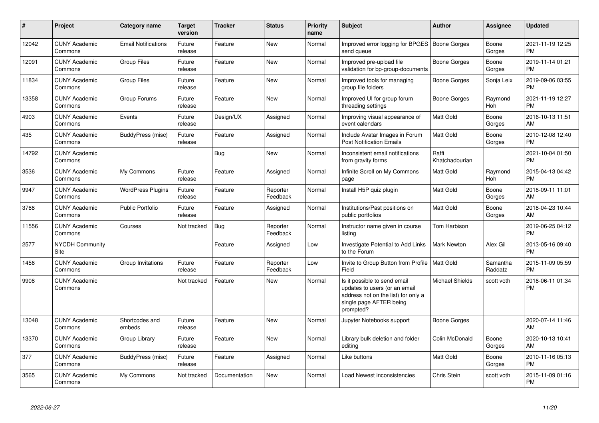| #     | <b>Project</b>                  | Category name              | <b>Target</b><br>version | <b>Tracker</b> | <b>Status</b>        | <b>Priority</b><br>name | Subject                                                                                                                                      | <b>Author</b>           | <b>Assignee</b>       | <b>Updated</b>                |
|-------|---------------------------------|----------------------------|--------------------------|----------------|----------------------|-------------------------|----------------------------------------------------------------------------------------------------------------------------------------------|-------------------------|-----------------------|-------------------------------|
| 12042 | <b>CUNY Academic</b><br>Commons | <b>Email Notifications</b> | Future<br>release        | Feature        | <b>New</b>           | Normal                  | Improved error logging for BPGES   Boone Gorges<br>send queue                                                                                |                         | Boone<br>Gorges       | 2021-11-19 12:25<br><b>PM</b> |
| 12091 | <b>CUNY Academic</b><br>Commons | <b>Group Files</b>         | Future<br>release        | Feature        | <b>New</b>           | Normal                  | Improved pre-upload file<br>validation for bp-group-documents                                                                                | <b>Boone Gorges</b>     | Boone<br>Gorges       | 2019-11-14 01:21<br><b>PM</b> |
| 11834 | <b>CUNY Academic</b><br>Commons | <b>Group Files</b>         | Future<br>release        | Feature        | <b>New</b>           | Normal                  | Improved tools for managing<br>group file folders                                                                                            | Boone Gorges            | Sonja Leix            | 2019-09-06 03:55<br><b>PM</b> |
| 13358 | <b>CUNY Academic</b><br>Commons | Group Forums               | Future<br>release        | Feature        | <b>New</b>           | Normal                  | Improved UI for group forum<br>threading settings                                                                                            | Boone Gorges            | Raymond<br>Hoh        | 2021-11-19 12:27<br><b>PM</b> |
| 4903  | <b>CUNY Academic</b><br>Commons | Events                     | Future<br>release        | Design/UX      | Assigned             | Normal                  | Improving visual appearance of<br>event calendars                                                                                            | <b>Matt Gold</b>        | Boone<br>Gorges       | 2016-10-13 11:51<br>AM        |
| 435   | <b>CUNY Academic</b><br>Commons | BuddyPress (misc)          | Future<br>release        | Feature        | Assigned             | Normal                  | Include Avatar Images in Forum<br><b>Post Notification Emails</b>                                                                            | <b>Matt Gold</b>        | Boone<br>Gorges       | 2010-12-08 12:40<br><b>PM</b> |
| 14792 | <b>CUNY Academic</b><br>Commons |                            |                          | Bug            | <b>New</b>           | Normal                  | Inconsistent email notifications<br>from gravity forms                                                                                       | Raffi<br>Khatchadourian |                       | 2021-10-04 01:50<br><b>PM</b> |
| 3536  | <b>CUNY Academic</b><br>Commons | My Commons                 | Future<br>release        | Feature        | Assigned             | Normal                  | Infinite Scroll on My Commons<br>page                                                                                                        | <b>Matt Gold</b>        | Raymond<br><b>Hoh</b> | 2015-04-13 04:42<br><b>PM</b> |
| 9947  | <b>CUNY Academic</b><br>Commons | <b>WordPress Plugins</b>   | Future<br>release        | Feature        | Reporter<br>Feedback | Normal                  | Install H5P quiz plugin                                                                                                                      | Matt Gold               | Boone<br>Gorges       | 2018-09-11 11:01<br>AM        |
| 3768  | <b>CUNY Academic</b><br>Commons | <b>Public Portfolio</b>    | Future<br>release        | Feature        | Assigned             | Normal                  | Institutions/Past positions on<br>public portfolios                                                                                          | Matt Gold               | Boone<br>Gorges       | 2018-04-23 10:44<br>AM        |
| 11556 | <b>CUNY Academic</b><br>Commons | Courses                    | Not tracked              | Bug            | Reporter<br>Feedback | Normal                  | Instructor name given in course<br>listing                                                                                                   | Tom Harbison            |                       | 2019-06-25 04:12<br><b>PM</b> |
| 2577  | <b>NYCDH Community</b><br>Site  |                            |                          | Feature        | Assigned             | Low                     | <b>Investigate Potential to Add Links</b><br>to the Forum                                                                                    | <b>Mark Newton</b>      | Alex Gil              | 2013-05-16 09:40<br><b>PM</b> |
| 1456  | <b>CUNY Academic</b><br>Commons | Group Invitations          | Future<br>release        | Feature        | Reporter<br>Feedback | Low                     | Invite to Group Button from Profile   Matt Gold<br>Field                                                                                     |                         | Samantha<br>Raddatz   | 2015-11-09 05:59<br><b>PM</b> |
| 9908  | <b>CUNY Academic</b><br>Commons |                            | Not tracked              | Feature        | <b>New</b>           | Normal                  | Is it possible to send email<br>updates to users (or an email<br>address not on the list) for only a<br>single page AFTER being<br>prompted? | Michael Shields         | scott voth            | 2018-06-11 01:34<br><b>PM</b> |
| 13048 | <b>CUNY Academic</b><br>Commons | Shortcodes and<br>embeds   | Future<br>release        | Feature        | <b>New</b>           | Normal                  | Jupyter Notebooks support                                                                                                                    | Boone Gorges            |                       | 2020-07-14 11:46<br>AM        |
| 13370 | <b>CUNY Academic</b><br>Commons | Group Library              | Future<br>release        | Feature        | <b>New</b>           | Normal                  | Library bulk deletion and folder<br>editing                                                                                                  | Colin McDonald          | Boone<br>Gorges       | 2020-10-13 10:41<br>AM        |
| 377   | <b>CUNY Academic</b><br>Commons | BuddyPress (misc)          | Future<br>release        | Feature        | Assigned             | Normal                  | Like buttons                                                                                                                                 | Matt Gold               | Boone<br>Gorges       | 2010-11-16 05:13<br><b>PM</b> |
| 3565  | <b>CUNY Academic</b><br>Commons | My Commons                 | Not tracked              | Documentation  | <b>New</b>           | Normal                  | Load Newest inconsistencies                                                                                                                  | Chris Stein             | scott voth            | 2015-11-09 01:16<br><b>PM</b> |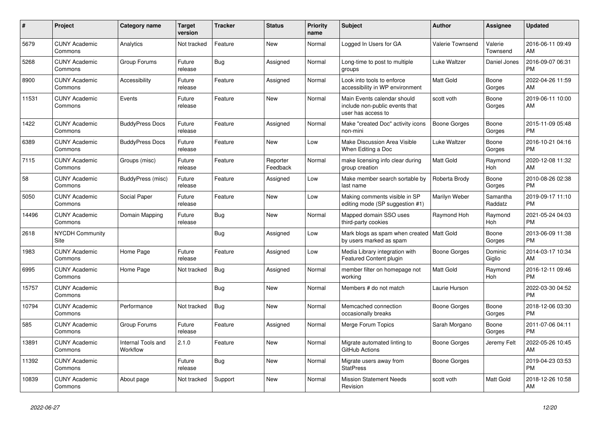| #     | Project                               | Category name                  | <b>Target</b><br>version | <b>Tracker</b> | <b>Status</b>        | Priority<br>name | <b>Subject</b>                                                                      | <b>Author</b>    | <b>Assignee</b>     | <b>Updated</b>                |
|-------|---------------------------------------|--------------------------------|--------------------------|----------------|----------------------|------------------|-------------------------------------------------------------------------------------|------------------|---------------------|-------------------------------|
| 5679  | <b>CUNY Academic</b><br>Commons       | Analytics                      | Not tracked              | Feature        | <b>New</b>           | Normal           | Logged In Users for GA                                                              | Valerie Townsend | Valerie<br>Townsend | 2016-06-11 09:49<br>AM        |
| 5268  | <b>CUNY Academic</b><br>Commons       | Group Forums                   | Future<br>release        | Bug            | Assigned             | Normal           | Long-time to post to multiple<br>groups                                             | Luke Waltzer     | Daniel Jones        | 2016-09-07 06:31<br><b>PM</b> |
| 8900  | <b>CUNY Academic</b><br>Commons       | Accessibility                  | Future<br>release        | Feature        | Assigned             | Normal           | Look into tools to enforce<br>accessibility in WP environment                       | <b>Matt Gold</b> | Boone<br>Gorges     | 2022-04-26 11:59<br>AM        |
| 11531 | <b>CUNY Academic</b><br>Commons       | Events                         | Future<br>release        | Feature        | <b>New</b>           | Normal           | Main Events calendar should<br>include non-public events that<br>user has access to | scott voth       | Boone<br>Gorges     | 2019-06-11 10:00<br>AM        |
| 1422  | <b>CUNY Academic</b><br>Commons       | <b>BuddyPress Docs</b>         | Future<br>release        | Feature        | Assigned             | Normal           | Make "created Doc" activity icons<br>non-mini                                       | Boone Gorges     | Boone<br>Gorges     | 2015-11-09 05:48<br><b>PM</b> |
| 6389  | <b>CUNY Academic</b><br>Commons       | <b>BuddyPress Docs</b>         | Future<br>release        | Feature        | <b>New</b>           | Low              | Make Discussion Area Visible<br>When Editing a Doc                                  | Luke Waltzer     | Boone<br>Gorges     | 2016-10-21 04:16<br><b>PM</b> |
| 7115  | <b>CUNY Academic</b><br>Commons       | Groups (misc)                  | Future<br>release        | Feature        | Reporter<br>Feedback | Normal           | make licensing info clear during<br>group creation                                  | Matt Gold        | Raymond<br>Hoh      | 2020-12-08 11:32<br>AM        |
| 58    | <b>CUNY Academic</b><br>Commons       | BuddyPress (misc)              | Future<br>release        | Feature        | Assigned             | Low              | Make member search sortable by<br>last name                                         | Roberta Brody    | Boone<br>Gorges     | 2010-08-26 02:38<br><b>PM</b> |
| 5050  | <b>CUNY Academic</b><br>Commons       | Social Paper                   | Future<br>release        | Feature        | <b>New</b>           | Low              | Making comments visible in SP<br>editing mode (SP suggestion #1)                    | Marilyn Weber    | Samantha<br>Raddatz | 2019-09-17 11:10<br><b>PM</b> |
| 14496 | <b>CUNY Academic</b><br>Commons       | Domain Mapping                 | Future<br>release        | <b>Bug</b>     | <b>New</b>           | Normal           | Mapped domain SSO uses<br>third-party cookies                                       | Raymond Hoh      | Raymond<br>Hoh      | 2021-05-24 04:03<br><b>PM</b> |
| 2618  | <b>NYCDH Community</b><br><b>Site</b> |                                |                          | Bug            | Assigned             | Low              | Mark blogs as spam when created   Matt Gold<br>by users marked as spam              |                  | Boone<br>Gorges     | 2013-06-09 11:38<br><b>PM</b> |
| 1983  | <b>CUNY Academic</b><br>Commons       | Home Page                      | Future<br>release        | Feature        | Assigned             | Low              | Media Library integration with<br><b>Featured Content plugin</b>                    | Boone Gorges     | Dominic<br>Giglio   | 2014-03-17 10:34<br>AM        |
| 6995  | <b>CUNY Academic</b><br>Commons       | Home Page                      | Not tracked              | <b>Bug</b>     | Assigned             | Normal           | member filter on homepage not<br>working                                            | <b>Matt Gold</b> | Raymond<br>Hoh      | 2016-12-11 09:46<br><b>PM</b> |
| 15757 | <b>CUNY Academic</b><br>Commons       |                                |                          | <b>Bug</b>     | <b>New</b>           | Normal           | Members # do not match                                                              | Laurie Hurson    |                     | 2022-03-30 04:52<br><b>PM</b> |
| 10794 | <b>CUNY Academic</b><br>Commons       | Performance                    | Not tracked              | <b>Bug</b>     | <b>New</b>           | Normal           | Memcached connection<br>occasionally breaks                                         | Boone Gorges     | Boone<br>Gorges     | 2018-12-06 03:30<br><b>PM</b> |
| 585   | <b>CUNY Academic</b><br>Commons       | Group Forums                   | Future<br>release        | Feature        | Assigned             | Normal           | Merge Forum Topics                                                                  | Sarah Morgano    | Boone<br>Gorges     | 2011-07-06 04:11<br><b>PM</b> |
| 13891 | <b>CUNY Academic</b><br>Commons       | Internal Tools and<br>Workflow | 2.1.0                    | Feature        | <b>New</b>           | Normal           | Migrate automated linting to<br>GitHub Actions                                      | Boone Gorges     | Jeremy Felt         | 2022-05-26 10:45<br>AM        |
| 11392 | <b>CUNY Academic</b><br>Commons       |                                | Future<br>release        | <b>Bug</b>     | <b>New</b>           | Normal           | Migrate users away from<br><b>StatPress</b>                                         | Boone Gorges     |                     | 2019-04-23 03:53<br><b>PM</b> |
| 10839 | <b>CUNY Academic</b><br>Commons       | About page                     | Not tracked              | Support        | <b>New</b>           | Normal           | <b>Mission Statement Needs</b><br>Revision                                          | scott voth       | Matt Gold           | 2018-12-26 10:58<br>AM        |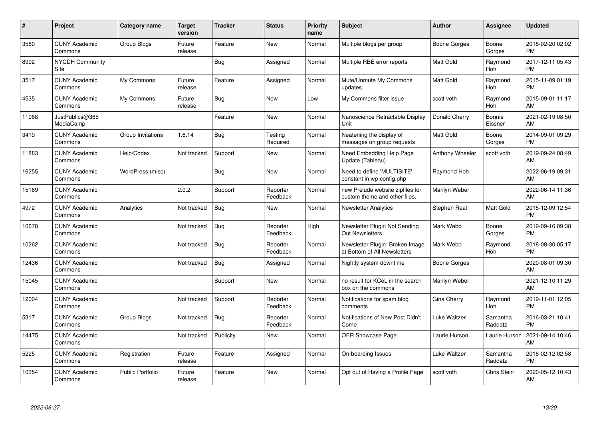| #     | Project                         | <b>Category name</b>    | Target<br>version | <b>Tracker</b> | <b>Status</b>        | <b>Priority</b><br>name | <b>Subject</b>                                                    | <b>Author</b>          | <b>Assignee</b>       | <b>Updated</b>                |
|-------|---------------------------------|-------------------------|-------------------|----------------|----------------------|-------------------------|-------------------------------------------------------------------|------------------------|-----------------------|-------------------------------|
| 3580  | <b>CUNY Academic</b><br>Commons | Group Blogs             | Future<br>release | Feature        | <b>New</b>           | Normal                  | Multiple blogs per group                                          | <b>Boone Gorges</b>    | Boone<br>Gorges       | 2018-02-20 02:02<br><b>PM</b> |
| 8992  | <b>NYCDH Community</b><br>Site  |                         |                   | Bug            | Assigned             | Normal                  | Multiple RBE error reports                                        | <b>Matt Gold</b>       | Raymond<br><b>Hoh</b> | 2017-12-11 05:43<br><b>PM</b> |
| 3517  | <b>CUNY Academic</b><br>Commons | My Commons              | Future<br>release | Feature        | Assigned             | Normal                  | Mute/Unmute My Commons<br>updates                                 | Matt Gold              | Raymond<br>Hoh        | 2015-11-09 01:19<br><b>PM</b> |
| 4535  | <b>CUNY Academic</b><br>Commons | My Commons              | Future<br>release | <b>Bug</b>     | <b>New</b>           | Low                     | My Commons filter issue                                           | scott voth             | Raymond<br>Hoh        | 2015-09-01 11:17<br>AM        |
| 11968 | JustPublics@365<br>MediaCamp    |                         |                   | Feature        | <b>New</b>           | Normal                  | Nanoscience Retractable Display<br>Unit                           | Donald Cherry          | Bonnie<br>Eissner     | 2021-02-19 08:50<br>AM        |
| 3419  | <b>CUNY Academic</b><br>Commons | Group Invitations       | 1.6.14            | Bug            | Testing<br>Required  | Normal                  | Neatening the display of<br>messages on group requests            | Matt Gold              | Boone<br>Gorges       | 2014-09-01 09:29<br><b>PM</b> |
| 11883 | <b>CUNY Academic</b><br>Commons | Help/Codex              | Not tracked       | Support        | <b>New</b>           | Normal                  | Need Embedding Help Page<br>Update (Tableau)                      | <b>Anthony Wheeler</b> | scott voth            | 2019-09-24 08:49<br>AM        |
| 16255 | <b>CUNY Academic</b><br>Commons | WordPress (misc)        |                   | Bug            | <b>New</b>           | Normal                  | Need to define 'MULTISITE'<br>constant in wp-config.php           | Raymond Hoh            |                       | 2022-06-19 09:31<br>AM        |
| 15169 | <b>CUNY Academic</b><br>Commons |                         | 2.0.2             | Support        | Reporter<br>Feedback | Normal                  | new Prelude website zipfiles for<br>custom theme and other files. | Marilyn Weber          |                       | 2022-06-14 11:36<br>AM        |
| 4972  | <b>CUNY Academic</b><br>Commons | Analytics               | Not tracked       | Bug            | <b>New</b>           | Normal                  | <b>Newsletter Analytics</b>                                       | Stephen Real           | <b>Matt Gold</b>      | 2015-12-09 12:54<br><b>PM</b> |
| 10678 | <b>CUNY Academic</b><br>Commons |                         | Not tracked       | <b>Bug</b>     | Reporter<br>Feedback | High                    | Newsletter Plugin Not Sending<br><b>Out Newsletters</b>           | Mark Webb              | Boone<br>Gorges       | 2019-09-16 09:38<br><b>PM</b> |
| 10262 | <b>CUNY Academic</b><br>Commons |                         | Not tracked       | Bug            | Reporter<br>Feedback | Normal                  | Newsletter Plugin: Broken Image<br>at Bottom of All Newsletters   | Mark Webb              | Raymond<br>Hoh        | 2018-08-30 05:17<br><b>PM</b> |
| 12436 | <b>CUNY Academic</b><br>Commons |                         | Not tracked       | <b>Bug</b>     | Assigned             | Normal                  | Nightly system downtime                                           | <b>Boone Gorges</b>    |                       | 2020-08-01 09:30<br>AM        |
| 15045 | <b>CUNY Academic</b><br>Commons |                         |                   | Support        | New                  | Normal                  | no result for KCeL in the search<br>box on the commons            | Marilyn Weber          |                       | 2021-12-10 11:29<br>AM        |
| 12004 | <b>CUNY Academic</b><br>Commons |                         | Not tracked       | Support        | Reporter<br>Feedback | Normal                  | Notifications for spam blog<br>comments                           | Gina Cherry            | Raymond<br>Hoh        | 2019-11-01 12:05<br><b>PM</b> |
| 5317  | <b>CUNY Academic</b><br>Commons | Group Blogs             | Not tracked       | Bug            | Reporter<br>Feedback | Normal                  | Notifications of New Post Didn't<br>Come                          | Luke Waltzer           | Samantha<br>Raddatz   | 2016-03-21 10:41<br><b>PM</b> |
| 14475 | <b>CUNY Academic</b><br>Commons |                         | Not tracked       | Publicity      | New                  | Normal                  | <b>OER Showcase Page</b>                                          | Laurie Hurson          | Laurie Hurson         | 2021-09-14 10:46<br>AM        |
| 5225  | <b>CUNY Academic</b><br>Commons | Registration            | Future<br>release | Feature        | Assigned             | Normal                  | On-boarding Issues                                                | Luke Waltzer           | Samantha<br>Raddatz   | 2016-02-12 02:58<br><b>PM</b> |
| 10354 | <b>CUNY Academic</b><br>Commons | <b>Public Portfolio</b> | Future<br>release | Feature        | <b>New</b>           | Normal                  | Opt out of Having a Profile Page                                  | scott voth             | Chris Stein           | 2020-05-12 10:43<br>AM        |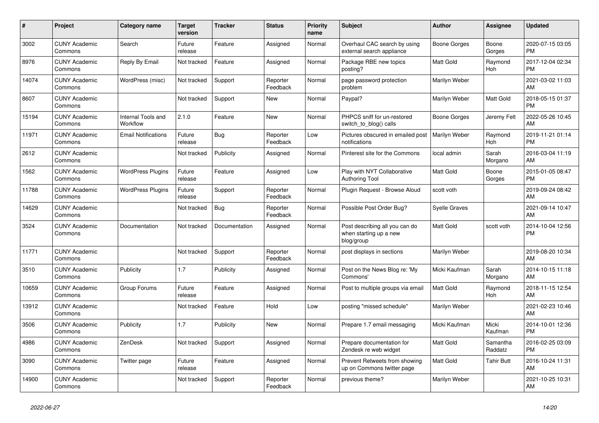| #     | Project                         | Category name                  | <b>Target</b><br>version | <b>Tracker</b> | <b>Status</b>        | <b>Priority</b><br>name | <b>Subject</b>                                                         | <b>Author</b>        | <b>Assignee</b>     | <b>Updated</b>                |
|-------|---------------------------------|--------------------------------|--------------------------|----------------|----------------------|-------------------------|------------------------------------------------------------------------|----------------------|---------------------|-------------------------------|
| 3002  | <b>CUNY Academic</b><br>Commons | Search                         | Future<br>release        | Feature        | Assigned             | Normal                  | Overhaul CAC search by using<br>external search appliance              | <b>Boone Gorges</b>  | Boone<br>Gorges     | 2020-07-15 03:05<br><b>PM</b> |
| 8976  | <b>CUNY Academic</b><br>Commons | Reply By Email                 | Not tracked              | Feature        | Assigned             | Normal                  | Package RBE new topics<br>posting?                                     | <b>Matt Gold</b>     | Raymond<br>Hoh      | 2017-12-04 02:34<br><b>PM</b> |
| 14074 | <b>CUNY Academic</b><br>Commons | WordPress (misc)               | Not tracked              | Support        | Reporter<br>Feedback | Normal                  | page password protection<br>problem                                    | Marilyn Weber        |                     | 2021-03-02 11:03<br>AM        |
| 8607  | <b>CUNY Academic</b><br>Commons |                                | Not tracked              | Support        | <b>New</b>           | Normal                  | Paypal?                                                                | Marilyn Weber        | Matt Gold           | 2018-05-15 01:37<br><b>PM</b> |
| 15194 | <b>CUNY Academic</b><br>Commons | Internal Tools and<br>Workflow | 2.1.0                    | Feature        | <b>New</b>           | Normal                  | PHPCS sniff for un-restored<br>switch to blog() calls                  | Boone Gorges         | Jeremy Felt         | 2022-05-26 10:45<br>AM        |
| 11971 | <b>CUNY Academic</b><br>Commons | <b>Email Notifications</b>     | Future<br>release        | Bug            | Reporter<br>Feedback | Low                     | Pictures obscured in emailed post<br>notifications                     | Marilyn Weber        | Raymond<br>Hoh      | 2019-11-21 01:14<br><b>PM</b> |
| 2612  | <b>CUNY Academic</b><br>Commons |                                | Not tracked              | Publicity      | Assigned             | Normal                  | Pinterest site for the Commons                                         | local admin          | Sarah<br>Morgano    | 2016-03-04 11:19<br>AM        |
| 1562  | <b>CUNY Academic</b><br>Commons | <b>WordPress Plugins</b>       | Future<br>release        | Feature        | Assigned             | Low                     | Play with NYT Collaborative<br><b>Authoring Tool</b>                   | <b>Matt Gold</b>     | Boone<br>Gorges     | 2015-01-05 08:47<br><b>PM</b> |
| 11788 | <b>CUNY Academic</b><br>Commons | <b>WordPress Plugins</b>       | Future<br>release        | Support        | Reporter<br>Feedback | Normal                  | Plugin Request - Browse Aloud                                          | scott voth           |                     | 2019-09-24 08:42<br>AM        |
| 14629 | <b>CUNY Academic</b><br>Commons |                                | Not tracked              | <b>Bug</b>     | Reporter<br>Feedback | Normal                  | Possible Post Order Bug?                                               | <b>Syelle Graves</b> |                     | 2021-09-14 10:47<br>AM        |
| 3524  | <b>CUNY Academic</b><br>Commons | Documentation                  | Not tracked              | Documentation  | Assigned             | Normal                  | Post describing all you can do<br>when starting up a new<br>blog/group | <b>Matt Gold</b>     | scott voth          | 2014-10-04 12:56<br><b>PM</b> |
| 11771 | <b>CUNY Academic</b><br>Commons |                                | Not tracked              | Support        | Reporter<br>Feedback | Normal                  | post displays in sections                                              | Marilyn Weber        |                     | 2019-08-20 10:34<br>AM        |
| 3510  | <b>CUNY Academic</b><br>Commons | Publicity                      | 1.7                      | Publicity      | Assigned             | Normal                  | Post on the News Blog re: 'My<br>Commons'                              | Micki Kaufman        | Sarah<br>Morgano    | 2014-10-15 11:18<br>AM        |
| 10659 | <b>CUNY Academic</b><br>Commons | Group Forums                   | Future<br>release        | Feature        | Assigned             | Normal                  | Post to multiple groups via email                                      | <b>Matt Gold</b>     | Raymond<br>Hoh      | 2018-11-15 12:54<br>AM        |
| 13912 | <b>CUNY Academic</b><br>Commons |                                | Not tracked              | Feature        | Hold                 | Low                     | posting "missed schedule"                                              | Marilyn Weber        |                     | 2021-02-23 10:46<br>AM        |
| 3506  | <b>CUNY Academic</b><br>Commons | Publicity                      | 1.7                      | Publicity      | <b>New</b>           | Normal                  | Prepare 1.7 email messaging                                            | Micki Kaufman        | Micki<br>Kaufman    | 2014-10-01 12:36<br><b>PM</b> |
| 4986  | <b>CUNY Academic</b><br>Commons | ZenDesk                        | Not tracked              | Support        | Assigned             | Normal                  | Prepare documentation for<br>Zendesk re web widget                     | <b>Matt Gold</b>     | Samantha<br>Raddatz | 2016-02-25 03:09<br><b>PM</b> |
| 3090  | <b>CUNY Academic</b><br>Commons | Twitter page                   | Future<br>release        | Feature        | Assigned             | Normal                  | Prevent Retweets from showing<br>up on Commons twitter page            | <b>Matt Gold</b>     | <b>Tahir Butt</b>   | 2016-10-24 11:31<br>AM        |
| 14900 | <b>CUNY Academic</b><br>Commons |                                | Not tracked              | Support        | Reporter<br>Feedback | Normal                  | previous theme?                                                        | Marilyn Weber        |                     | 2021-10-25 10:31<br>AM        |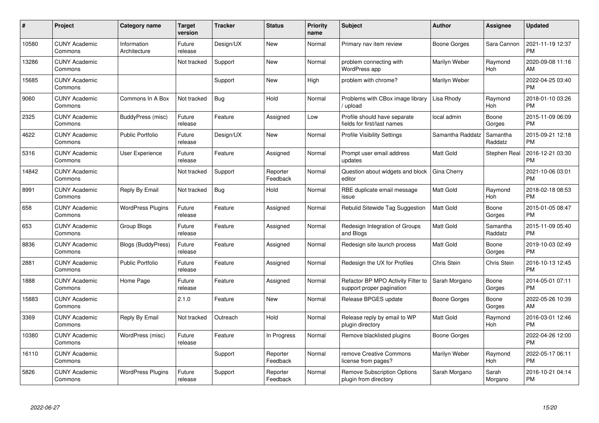| $\#$  | Project                         | Category name               | Target<br>version | <b>Tracker</b> | <b>Status</b>        | <b>Priority</b><br>name | <b>Subject</b>                                                  | <b>Author</b>       | <b>Assignee</b>     | <b>Updated</b>                |
|-------|---------------------------------|-----------------------------|-------------------|----------------|----------------------|-------------------------|-----------------------------------------------------------------|---------------------|---------------------|-------------------------------|
| 10580 | <b>CUNY Academic</b><br>Commons | Information<br>Architecture | Future<br>release | Design/UX      | <b>New</b>           | Normal                  | Primary nav item review                                         | <b>Boone Gorges</b> | Sara Cannon         | 2021-11-19 12:37<br><b>PM</b> |
| 13286 | <b>CUNY Academic</b><br>Commons |                             | Not tracked       | Support        | New                  | Normal                  | problem connecting with<br>WordPress app                        | Marilyn Weber       | Raymond<br>Hoh      | 2020-09-08 11:16<br>AM        |
| 15685 | <b>CUNY Academic</b><br>Commons |                             |                   | Support        | <b>New</b>           | High                    | problem with chrome?                                            | Marilyn Weber       |                     | 2022-04-25 03:40<br>PM        |
| 9060  | <b>CUNY Academic</b><br>Commons | Commons In A Box            | Not tracked       | <b>Bug</b>     | Hold                 | Normal                  | Problems with CBox image library<br>upload                      | Lisa Rhody          | Raymond<br>Hoh      | 2018-01-10 03:26<br>PM        |
| 2325  | <b>CUNY Academic</b><br>Commons | BuddyPress (misc)           | Future<br>release | Feature        | Assigned             | Low                     | Profile should have separate<br>fields for first/last names     | local admin         | Boone<br>Gorges     | 2015-11-09 06:09<br><b>PM</b> |
| 4622  | <b>CUNY Academic</b><br>Commons | <b>Public Portfolio</b>     | Future<br>release | Design/UX      | <b>New</b>           | Normal                  | <b>Profile Visibility Settings</b>                              | Samantha Raddatz    | Samantha<br>Raddatz | 2015-09-21 12:18<br>PM        |
| 5316  | <b>CUNY Academic</b><br>Commons | <b>User Experience</b>      | Future<br>release | Feature        | Assigned             | Normal                  | Prompt user email address<br>updates                            | Matt Gold           | Stephen Real        | 2016-12-21 03:30<br>PМ        |
| 14842 | <b>CUNY Academic</b><br>Commons |                             | Not tracked       | Support        | Reporter<br>Feedback | Normal                  | Question about widgets and block<br>editor                      | Gina Cherry         |                     | 2021-10-06 03:01<br><b>PM</b> |
| 8991  | <b>CUNY Academic</b><br>Commons | Reply By Email              | Not tracked       | <b>Bug</b>     | Hold                 | Normal                  | RBE duplicate email message<br>issue                            | Matt Gold           | Raymond<br>Hoh      | 2018-02-18 08:53<br><b>PM</b> |
| 658   | <b>CUNY Academic</b><br>Commons | <b>WordPress Plugins</b>    | Future<br>release | Feature        | Assigned             | Normal                  | Rebulid Sitewide Tag Suggestion                                 | Matt Gold           | Boone<br>Gorges     | 2015-01-05 08:47<br><b>PM</b> |
| 653   | <b>CUNY Academic</b><br>Commons | Group Blogs                 | Future<br>release | Feature        | Assigned             | Normal                  | Redesign Integration of Groups<br>and Blogs                     | Matt Gold           | Samantha<br>Raddatz | 2015-11-09 05:40<br><b>PM</b> |
| 8836  | <b>CUNY Academic</b><br>Commons | Blogs (BuddyPress)          | Future<br>release | Feature        | Assigned             | Normal                  | Redesign site launch process                                    | Matt Gold           | Boone<br>Gorges     | 2019-10-03 02:49<br><b>PM</b> |
| 2881  | <b>CUNY Academic</b><br>Commons | <b>Public Portfolio</b>     | Future<br>release | Feature        | Assigned             | Normal                  | Redesign the UX for Profiles                                    | Chris Stein         | <b>Chris Stein</b>  | 2016-10-13 12:45<br><b>PM</b> |
| 1888  | <b>CUNY Academic</b><br>Commons | Home Page                   | Future<br>release | Feature        | Assigned             | Normal                  | Refactor BP MPO Activity Filter to<br>support proper pagination | Sarah Morgano       | Boone<br>Gorges     | 2014-05-01 07:11<br>РM        |
| 15883 | <b>CUNY Academic</b><br>Commons |                             | 2.1.0             | Feature        | <b>New</b>           | Normal                  | Release BPGES update                                            | <b>Boone Gorges</b> | Boone<br>Gorges     | 2022-05-26 10:39<br>AM        |
| 3369  | <b>CUNY Academic</b><br>Commons | Reply By Email              | Not tracked       | Outreach       | Hold                 | Normal                  | Release reply by email to WP<br>plugin directory                | Matt Gold           | Raymond<br>Hoh      | 2016-03-01 12:46<br><b>PM</b> |
| 10380 | <b>CUNY Academic</b><br>Commons | WordPress (misc)            | Future<br>release | Feature        | In Progress          | Normal                  | Remove blacklisted plugins                                      | Boone Gorges        |                     | 2022-04-26 12:00<br><b>PM</b> |
| 16110 | <b>CUNY Academic</b><br>Commons |                             |                   | Support        | Reporter<br>Feedback | Normal                  | remove Creative Commons<br>license from pages?                  | Marilyn Weber       | Raymond<br>Hoh      | 2022-05-17 06:11<br><b>PM</b> |
| 5826  | <b>CUNY Academic</b><br>Commons | <b>WordPress Plugins</b>    | Future<br>release | Support        | Reporter<br>Feedback | Normal                  | Remove Subscription Options<br>plugin from directory            | Sarah Morgano       | Sarah<br>Morgano    | 2016-10-21 04:14<br>PM        |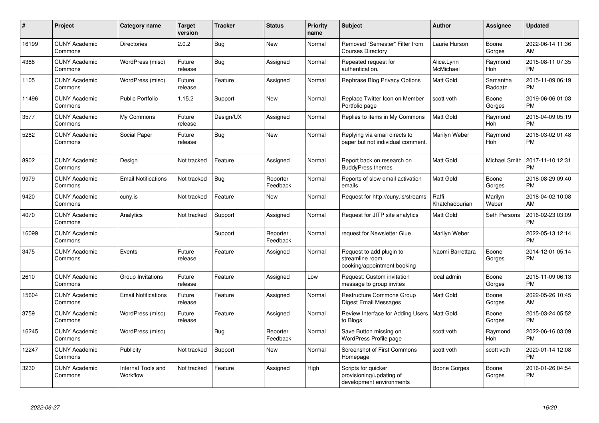| #     | Project                         | Category name                  | <b>Target</b><br>version | <b>Tracker</b> | <b>Status</b>        | <b>Priority</b><br>name | <b>Subject</b>                                                              | <b>Author</b>           | Assignee             | <b>Updated</b>                |
|-------|---------------------------------|--------------------------------|--------------------------|----------------|----------------------|-------------------------|-----------------------------------------------------------------------------|-------------------------|----------------------|-------------------------------|
| 16199 | <b>CUNY Academic</b><br>Commons | <b>Directories</b>             | 2.0.2                    | Bug            | <b>New</b>           | Normal                  | Removed "Semester" Filter from<br><b>Courses Directory</b>                  | Laurie Hurson           | Boone<br>Gorges      | 2022-06-14 11:36<br>AM        |
| 4388  | <b>CUNY Academic</b><br>Commons | WordPress (misc)               | Future<br>release        | Bug            | Assigned             | Normal                  | Repeated request for<br>authentication.                                     | Alice.Lynn<br>McMichael | Raymond<br>Hoh       | 2015-08-11 07:35<br><b>PM</b> |
| 1105  | <b>CUNY Academic</b><br>Commons | WordPress (misc)               | Future<br>release        | Feature        | Assigned             | Normal                  | Rephrase Blog Privacy Options                                               | Matt Gold               | Samantha<br>Raddatz  | 2015-11-09 06:19<br><b>PM</b> |
| 11496 | <b>CUNY Academic</b><br>Commons | <b>Public Portfolio</b>        | 1.15.2                   | Support        | <b>New</b>           | Normal                  | Replace Twitter Icon on Member<br>Portfolio page                            | scott voth              | Boone<br>Gorges      | 2019-06-06 01:03<br><b>PM</b> |
| 3577  | <b>CUNY Academic</b><br>Commons | My Commons                     | Future<br>release        | Design/UX      | Assigned             | Normal                  | Replies to items in My Commons                                              | <b>Matt Gold</b>        | Raymond<br>Hoh       | 2015-04-09 05:19<br><b>PM</b> |
| 5282  | <b>CUNY Academic</b><br>Commons | Social Paper                   | Future<br>release        | Bug            | <b>New</b>           | Normal                  | Replying via email directs to<br>paper but not individual comment.          | Marilyn Weber           | Raymond<br>Hoh       | 2016-03-02 01:48<br><b>PM</b> |
| 8902  | <b>CUNY Academic</b><br>Commons | Design                         | Not tracked              | Feature        | Assigned             | Normal                  | Report back on research on<br><b>BuddyPress themes</b>                      | <b>Matt Gold</b>        | <b>Michael Smith</b> | 2017-11-10 12:31<br><b>PM</b> |
| 9979  | <b>CUNY Academic</b><br>Commons | <b>Email Notifications</b>     | Not tracked              | Bug            | Reporter<br>Feedback | Normal                  | Reports of slow email activation<br>emails                                  | <b>Matt Gold</b>        | Boone<br>Gorges      | 2018-08-29 09:40<br><b>PM</b> |
| 9420  | <b>CUNY Academic</b><br>Commons | cuny.is                        | Not tracked              | Feature        | <b>New</b>           | Normal                  | Request for http://cuny.is/streams                                          | Raffi<br>Khatchadourian | Marilyn<br>Weber     | 2018-04-02 10:08<br>AM        |
| 4070  | <b>CUNY Academic</b><br>Commons | Analytics                      | Not tracked              | Support        | Assigned             | Normal                  | Request for JITP site analytics                                             | <b>Matt Gold</b>        | Seth Persons         | 2016-02-23 03:09<br><b>PM</b> |
| 16099 | <b>CUNY Academic</b><br>Commons |                                |                          | Support        | Reporter<br>Feedback | Normal                  | request for Newsletter Glue                                                 | Marilyn Weber           |                      | 2022-05-13 12:14<br><b>PM</b> |
| 3475  | <b>CUNY Academic</b><br>Commons | Events                         | Future<br>release        | Feature        | Assigned             | Normal                  | Request to add plugin to<br>streamline room<br>booking/appointment booking  | Naomi Barrettara        | Boone<br>Gorges      | 2014-12-01 05:14<br><b>PM</b> |
| 2610  | <b>CUNY Academic</b><br>Commons | Group Invitations              | Future<br>release        | Feature        | Assigned             | Low                     | Request: Custom invitation<br>message to group invites                      | local admin             | Boone<br>Gorges      | 2015-11-09 06:13<br><b>PM</b> |
| 15604 | <b>CUNY Academic</b><br>Commons | <b>Email Notifications</b>     | Future<br>release        | Feature        | Assigned             | Normal                  | Restructure Commons Group<br>Digest Email Messages                          | Matt Gold               | Boone<br>Gorges      | 2022-05-26 10:45<br>AM        |
| 3759  | <b>CUNY Academic</b><br>Commons | WordPress (misc)               | Future<br>release        | Feature        | Assigned             | Normal                  | Review Interface for Adding Users   Matt Gold<br>to Blogs                   |                         | Boone<br>Gorges      | 2015-03-24 05:52<br><b>PM</b> |
| 16245 | <b>CUNY Academic</b><br>Commons | WordPress (misc)               |                          | Bug            | Reporter<br>Feedback | Normal                  | Save Button missing on<br>WordPress Profile page                            | scott voth              | Raymond<br>Hoh       | 2022-06-16 03:09<br><b>PM</b> |
| 12247 | <b>CUNY Academic</b><br>Commons | Publicity                      | Not tracked              | Support        | New                  | Normal                  | <b>Screenshot of First Commons</b><br>Homepage                              | scott voth              | scott voth           | 2020-01-14 12:08<br><b>PM</b> |
| 3230  | <b>CUNY Academic</b><br>Commons | Internal Tools and<br>Workflow | Not tracked              | Feature        | Assigned             | High                    | Scripts for quicker<br>provisioning/updating of<br>development environments | Boone Gorges            | Boone<br>Gorges      | 2016-01-26 04:54<br><b>PM</b> |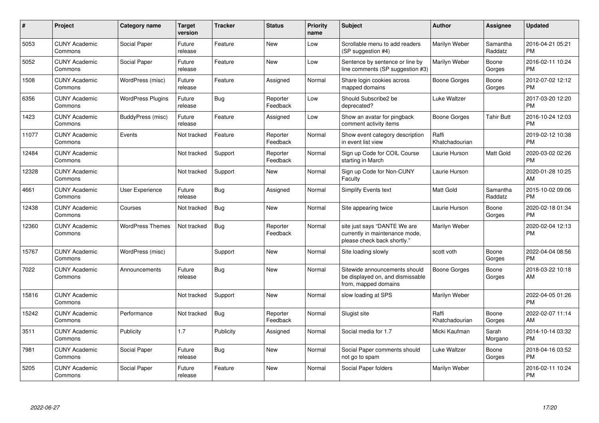| #     | Project                         | Category name            | <b>Target</b><br>version | <b>Tracker</b> | <b>Status</b>        | <b>Priority</b><br>name | <b>Subject</b>                                                                                | <b>Author</b>           | Assignee            | <b>Updated</b>                |
|-------|---------------------------------|--------------------------|--------------------------|----------------|----------------------|-------------------------|-----------------------------------------------------------------------------------------------|-------------------------|---------------------|-------------------------------|
| 5053  | <b>CUNY Academic</b><br>Commons | Social Paper             | Future<br>release        | Feature        | <b>New</b>           | Low                     | Scrollable menu to add readers<br>(SP suggestion #4)                                          | Marilyn Weber           | Samantha<br>Raddatz | 2016-04-21 05:21<br><b>PM</b> |
| 5052  | <b>CUNY Academic</b><br>Commons | Social Paper             | Future<br>release        | Feature        | <b>New</b>           | Low                     | Sentence by sentence or line by<br>line comments (SP suggestion #3)                           | Marilyn Weber           | Boone<br>Gorges     | 2016-02-11 10:24<br><b>PM</b> |
| 1508  | <b>CUNY Academic</b><br>Commons | WordPress (misc)         | Future<br>release        | Feature        | Assigned             | Normal                  | Share login cookies across<br>mapped domains                                                  | <b>Boone Gorges</b>     | Boone<br>Gorges     | 2012-07-02 12:12<br><b>PM</b> |
| 6356  | <b>CUNY Academic</b><br>Commons | <b>WordPress Plugins</b> | Future<br>release        | <b>Bug</b>     | Reporter<br>Feedback | Low                     | Should Subscribe2 be<br>deprecated?                                                           | Luke Waltzer            |                     | 2017-03-20 12:20<br><b>PM</b> |
| 1423  | <b>CUNY Academic</b><br>Commons | BuddyPress (misc)        | Future<br>release        | Feature        | Assigned             | Low                     | Show an avatar for pingback<br>comment activity items                                         | Boone Gorges            | <b>Tahir Butt</b>   | 2016-10-24 12:03<br><b>PM</b> |
| 11077 | <b>CUNY Academic</b><br>Commons | Events                   | Not tracked              | Feature        | Reporter<br>Feedback | Normal                  | Show event category description<br>in event list view                                         | Raffi<br>Khatchadourian |                     | 2019-02-12 10:38<br><b>PM</b> |
| 12484 | <b>CUNY Academic</b><br>Commons |                          | Not tracked              | Support        | Reporter<br>Feedback | Normal                  | Sign up Code for COIL Course<br>starting in March                                             | Laurie Hurson           | Matt Gold           | 2020-03-02 02:26<br><b>PM</b> |
| 12328 | <b>CUNY Academic</b><br>Commons |                          | Not tracked              | Support        | <b>New</b>           | Normal                  | Sign up Code for Non-CUNY<br>Faculty                                                          | Laurie Hurson           |                     | 2020-01-28 10:25<br>AM        |
| 4661  | <b>CUNY Academic</b><br>Commons | <b>User Experience</b>   | Future<br>release        | Bug            | Assigned             | Normal                  | <b>Simplify Events text</b>                                                                   | <b>Matt Gold</b>        | Samantha<br>Raddatz | 2015-10-02 09:06<br><b>PM</b> |
| 12438 | <b>CUNY Academic</b><br>Commons | Courses                  | Not tracked              | <b>Bug</b>     | <b>New</b>           | Normal                  | Site appearing twice                                                                          | Laurie Hurson           | Boone<br>Gorges     | 2020-02-18 01:34<br><b>PM</b> |
| 12360 | <b>CUNY Academic</b><br>Commons | <b>WordPress Themes</b>  | Not tracked              | Bug            | Reporter<br>Feedback | Normal                  | site just says "DANTE We are<br>currently in maintenance mode,<br>please check back shortly." | Marilyn Weber           |                     | 2020-02-04 12:13<br><b>PM</b> |
| 15767 | <b>CUNY Academic</b><br>Commons | WordPress (misc)         |                          | Support        | <b>New</b>           | Normal                  | Site loading slowly                                                                           | scott voth              | Boone<br>Gorges     | 2022-04-04 08:56<br><b>PM</b> |
| 7022  | <b>CUNY Academic</b><br>Commons | Announcements            | Future<br>release        | <b>Bug</b>     | <b>New</b>           | Normal                  | Sitewide announcements should<br>be displayed on, and dismissable<br>from, mapped domains     | <b>Boone Gorges</b>     | Boone<br>Gorges     | 2018-03-22 10:18<br>AM        |
| 15816 | <b>CUNY Academic</b><br>Commons |                          | Not tracked              | Support        | <b>New</b>           | Normal                  | slow loading at SPS                                                                           | Marilyn Weber           |                     | 2022-04-05 01:26<br><b>PM</b> |
| 15242 | <b>CUNY Academic</b><br>Commons | Performance              | Not tracked              | <b>Bug</b>     | Reporter<br>Feedback | Normal                  | Slugist site                                                                                  | Raffi<br>Khatchadourian | Boone<br>Gorges     | 2022-02-07 11:14<br>AM        |
| 3511  | <b>CUNY Academic</b><br>Commons | Publicity                | 1.7                      | Publicity      | Assigned             | Normal                  | Social media for 1.7                                                                          | Micki Kaufman           | Sarah<br>Morgano    | 2014-10-14 03:32<br><b>PM</b> |
| 7981  | <b>CUNY Academic</b><br>Commons | Social Paper             | Future<br>release        | <b>Bug</b>     | <b>New</b>           | Normal                  | Social Paper comments should<br>not go to spam                                                | Luke Waltzer            | Boone<br>Gorges     | 2018-04-16 03:52<br><b>PM</b> |
| 5205  | <b>CUNY Academic</b><br>Commons | Social Paper             | Future<br>release        | Feature        | <b>New</b>           | Normal                  | Social Paper folders                                                                          | Marilyn Weber           |                     | 2016-02-11 10:24<br><b>PM</b> |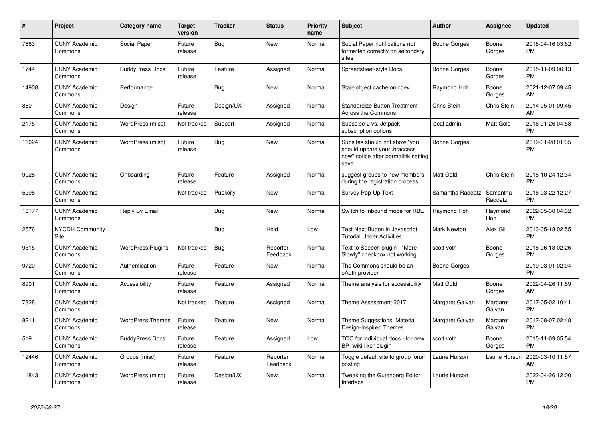| #     | <b>Project</b>                  | Category name            | <b>Target</b><br>version | <b>Tracker</b> | <b>Status</b>        | Priority<br>name | <b>Subject</b>                                                                                               | <b>Author</b>      | Assignee              | <b>Updated</b>                |
|-------|---------------------------------|--------------------------|--------------------------|----------------|----------------------|------------------|--------------------------------------------------------------------------------------------------------------|--------------------|-----------------------|-------------------------------|
| 7663  | <b>CUNY Academic</b><br>Commons | Social Paper             | Future<br>release        | Bug            | <b>New</b>           | Normal           | Social Paper notifications not<br>formatted correctly on secondary<br>sites                                  | Boone Gorges       | Boone<br>Gorges       | 2018-04-16 03:52<br><b>PM</b> |
| 1744  | <b>CUNY Academic</b><br>Commons | <b>BuddyPress Docs</b>   | Future<br>release        | Feature        | Assigned             | Normal           | Spreadsheet-style Docs                                                                                       | Boone Gorges       | Boone<br>Gorges       | 2015-11-09 06:13<br><b>PM</b> |
| 14908 | <b>CUNY Academic</b><br>Commons | Performance              |                          | <b>Bug</b>     | New                  | Normal           | Stale object cache on cdev                                                                                   | Raymond Hoh        | Boone<br>Gorges       | 2021-12-07 09:45<br>AM        |
| 860   | <b>CUNY Academic</b><br>Commons | Design                   | Future<br>release        | Design/UX      | Assigned             | Normal           | <b>Standardize Button Treatment</b><br><b>Across the Commons</b>                                             | <b>Chris Stein</b> | Chris Stein           | 2014-05-01 09:45<br>AM        |
| 2175  | <b>CUNY Academic</b><br>Commons | WordPress (misc)         | Not tracked              | Support        | Assigned             | Normal           | Subscibe 2 vs. Jetpack<br>subscription options                                                               | local admin        | Matt Gold             | 2016-01-26 04:58<br><b>PM</b> |
| 11024 | <b>CUNY Academic</b><br>Commons | WordPress (misc)         | Future<br>release        | Bug            | New                  | Normal           | Subsites should not show "you<br>should update your .htaccess<br>now" notice after permalink setting<br>save | Boone Gorges       |                       | 2019-01-28 01:35<br><b>PM</b> |
| 9028  | <b>CUNY Academic</b><br>Commons | Onboarding               | Future<br>release        | Feature        | Assigned             | Normal           | suggest groups to new members<br>during the registration process                                             | Matt Gold          | Chris Stein           | 2018-10-24 12:34<br><b>PM</b> |
| 5298  | <b>CUNY Academic</b><br>Commons |                          | Not tracked              | Publicity      | New                  | Normal           | Survey Pop-Up Text                                                                                           | Samantha Raddatz   | Samantha<br>Raddatz   | 2016-03-22 12:27<br><b>PM</b> |
| 16177 | <b>CUNY Academic</b><br>Commons | Reply By Email           |                          | <b>Bug</b>     | <b>New</b>           | Normal           | Switch to Inbound mode for RBE                                                                               | Raymond Hoh        | Raymond<br><b>Hoh</b> | 2022-05-30 04:32<br><b>PM</b> |
| 2576  | <b>NYCDH Community</b><br>Site  |                          |                          | <b>Bug</b>     | Hold                 | Low              | Test Next Button in Javascript<br><b>Tutorial Under Activities</b>                                           | <b>Mark Newton</b> | Alex Gil              | 2013-05-18 02:55<br><b>PM</b> |
| 9515  | <b>CUNY Academic</b><br>Commons | <b>WordPress Plugins</b> | Not tracked              | <b>Bug</b>     | Reporter<br>Feedback | Normal           | Text to Speech plugin - "More<br>Slowly" checkbox not working                                                | scott voth         | Boone<br>Gorges       | 2018-06-13 02:26<br><b>PM</b> |
| 9720  | <b>CUNY Academic</b><br>Commons | Authentication           | Future<br>release        | Feature        | New                  | Normal           | The Commons should be an<br>oAuth provider                                                                   | Boone Gorges       |                       | 2019-03-01 02:04<br><b>PM</b> |
| 8901  | <b>CUNY Academic</b><br>Commons | Accessibility            | Future<br>release        | Feature        | Assigned             | Normal           | Theme analysis for accessibility                                                                             | Matt Gold          | Boone<br>Gorges       | 2022-04-26 11:59<br>AM        |
| 7828  | <b>CUNY Academic</b><br>Commons |                          | Not tracked              | Feature        | Assigned             | Normal           | Theme Assessment 2017                                                                                        | Margaret Galvan    | Margaret<br>Galvan    | 2017-05-02 10:41<br><b>PM</b> |
| 8211  | <b>CUNY Academic</b><br>Commons | <b>WordPress Themes</b>  | Future<br>release        | Feature        | <b>New</b>           | Normal           | Theme Suggestions: Material<br>Design-Inspired Themes                                                        | Margaret Galvan    | Margaret<br>Galvan    | 2017-08-07 02:48<br><b>PM</b> |
| 519   | <b>CUNY Academic</b><br>Commons | <b>BuddyPress Docs</b>   | Future<br>release        | Feature        | Assigned             | Low              | TOC for individual docs - for new<br>BP "wiki-like" plugin                                                   | scott voth         | Boone<br>Gorges       | 2015-11-09 05:54<br><b>PM</b> |
| 12446 | <b>CUNY Academic</b><br>Commons | Groups (misc)            | Future<br>release        | Feature        | Reporter<br>Feedback | Normal           | Toggle default site to group forum<br>posting                                                                | Laurie Hurson      | Laurie Hurson         | 2020-03-10 11:57<br>AM        |
| 11843 | <b>CUNY Academic</b><br>Commons | WordPress (misc)         | Future<br>release        | Design/UX      | New                  | Normal           | Tweaking the Gutenberg Editor<br>Interface                                                                   | Laurie Hurson      |                       | 2022-04-26 12:00<br><b>PM</b> |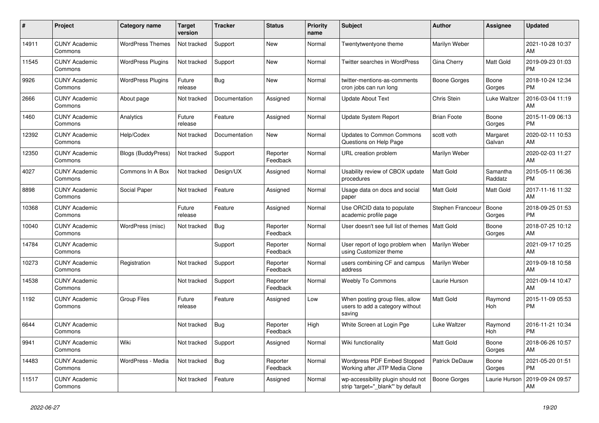| $\pmb{\#}$ | <b>Project</b>                  | Category name             | <b>Target</b><br>version | Tracker       | <b>Status</b>        | <b>Priority</b><br>name | <b>Subject</b>                                                               | <b>Author</b>         | <b>Assignee</b>     | <b>Updated</b>                |
|------------|---------------------------------|---------------------------|--------------------------|---------------|----------------------|-------------------------|------------------------------------------------------------------------------|-----------------------|---------------------|-------------------------------|
| 14911      | <b>CUNY Academic</b><br>Commons | <b>WordPress Themes</b>   | Not tracked              | Support       | <b>New</b>           | Normal                  | Twentytwentyone theme                                                        | Marilyn Weber         |                     | 2021-10-28 10:37<br>AM        |
| 11545      | <b>CUNY Academic</b><br>Commons | <b>WordPress Plugins</b>  | Not tracked              | Support       | <b>New</b>           | Normal                  | <b>Twitter searches in WordPress</b>                                         | Gina Cherry           | <b>Matt Gold</b>    | 2019-09-23 01:03<br><b>PM</b> |
| 9926       | <b>CUNY Academic</b><br>Commons | WordPress Plugins         | Future<br>release        | Bug           | <b>New</b>           | Normal                  | twitter-mentions-as-comments<br>cron jobs can run long                       | Boone Gorges          | Boone<br>Gorges     | 2018-10-24 12:34<br><b>PM</b> |
| 2666       | <b>CUNY Academic</b><br>Commons | About page                | Not tracked              | Documentation | Assigned             | Normal                  | <b>Update About Text</b>                                                     | <b>Chris Stein</b>    | Luke Waltzer        | 2016-03-04 11:19<br>AM        |
| 1460       | <b>CUNY Academic</b><br>Commons | Analytics                 | Future<br>release        | Feature       | Assigned             | Normal                  | Update System Report                                                         | <b>Brian Foote</b>    | Boone<br>Gorges     | 2015-11-09 06:13<br><b>PM</b> |
| 12392      | <b>CUNY Academic</b><br>Commons | Help/Codex                | Not tracked              | Documentation | <b>New</b>           | Normal                  | Updates to Common Commons<br>Questions on Help Page                          | scott voth            | Margaret<br>Galvan  | 2020-02-11 10:53<br>AM        |
| 12350      | <b>CUNY Academic</b><br>Commons | <b>Blogs (BuddyPress)</b> | Not tracked              | Support       | Reporter<br>Feedback | Normal                  | URL creation problem                                                         | Marilyn Weber         |                     | 2020-02-03 11:27<br>AM        |
| 4027       | <b>CUNY Academic</b><br>Commons | Commons In A Box          | Not tracked              | Design/UX     | Assigned             | Normal                  | Usability review of CBOX update<br>procedures                                | <b>Matt Gold</b>      | Samantha<br>Raddatz | 2015-05-11 06:36<br><b>PM</b> |
| 8898       | <b>CUNY Academic</b><br>Commons | Social Paper              | Not tracked              | Feature       | Assigned             | Normal                  | Usage data on docs and social<br>paper                                       | <b>Matt Gold</b>      | Matt Gold           | 2017-11-16 11:32<br>AM        |
| 10368      | <b>CUNY Academic</b><br>Commons |                           | Future<br>release        | Feature       | Assigned             | Normal                  | Use ORCID data to populate<br>academic profile page                          | Stephen Francoeur     | Boone<br>Gorges     | 2018-09-25 01:53<br><b>PM</b> |
| 10040      | <b>CUNY Academic</b><br>Commons | WordPress (misc)          | Not tracked              | Bug           | Reporter<br>Feedback | Normal                  | User doesn't see full list of themes I Matt Gold                             |                       | Boone<br>Gorges     | 2018-07-25 10:12<br>AM        |
| 14784      | <b>CUNY Academic</b><br>Commons |                           |                          | Support       | Reporter<br>Feedback | Normal                  | User report of logo problem when<br>using Customizer theme                   | Marilyn Weber         |                     | 2021-09-17 10:25<br>AM        |
| 10273      | <b>CUNY Academic</b><br>Commons | Registration              | Not tracked              | Support       | Reporter<br>Feedback | Normal                  | users combining CF and campus<br>address                                     | Marilyn Weber         |                     | 2019-09-18 10:58<br>AM        |
| 14538      | <b>CUNY Academic</b><br>Commons |                           | Not tracked              | Support       | Reporter<br>Feedback | Normal                  | <b>Weebly To Commons</b>                                                     | Laurie Hurson         |                     | 2021-09-14 10:47<br>AM        |
| 1192       | <b>CUNY Academic</b><br>Commons | <b>Group Files</b>        | Future<br>release        | Feature       | Assigned             | Low                     | When posting group files, allow<br>users to add a category without<br>saving | <b>Matt Gold</b>      | Raymond<br>Hoh      | 2015-11-09 05:53<br><b>PM</b> |
| 6644       | <b>CUNY Academic</b><br>Commons |                           | Not tracked              | <b>Bug</b>    | Reporter<br>Feedback | High                    | White Screen at Login Pge                                                    | Luke Waltzer          | Raymond<br>Hoh      | 2016-11-21 10:34<br><b>PM</b> |
| 9941       | <b>CUNY Academic</b><br>Commons | Wiki                      | Not tracked              | Support       | Assigned             | Normal                  | Wiki functionality                                                           | Matt Gold             | Boone<br>Gorges     | 2018-06-26 10:57<br>AM        |
| 14483      | <b>CUNY Academic</b><br>Commons | WordPress - Media         | Not tracked              | <b>Bug</b>    | Reporter<br>Feedback | Normal                  | Wordpress PDF Embed Stopped<br>Working after JITP Media Clone                | <b>Patrick DeDauw</b> | Boone<br>Gorges     | 2021-05-20 01:51<br><b>PM</b> |
| 11517      | <b>CUNY Academic</b><br>Commons |                           | Not tracked              | Feature       | Assigned             | Normal                  | wp-accessibility plugin should not<br>strip 'target="_blank" by default      | Boone Gorges          | Laurie Hurson       | 2019-09-24 09:57<br>AM        |